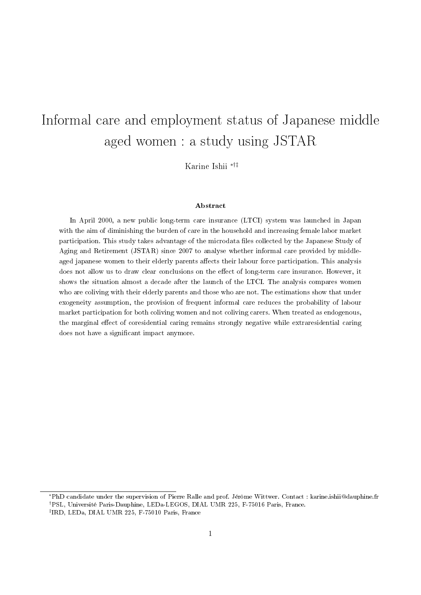# Informal care and employment status of Japanese middle aged women : a study using JSTAR

Karine Ishii ∗†‡

#### Abstract

In April 2000, a new public long-term care insurance (LTCI) system was launched in Japan with the aim of diminishing the burden of care in the household and increasing female labor market participation. This study takes advantage of the microdata les collected by the Japanese Study of Aging and Retirement (JSTAR) since 2007 to analyse whether informal care provided by middleaged japanese women to their elderly parents affects their labour force participation. This analysis does not allow us to draw clear conclusions on the effect of long-term care insurance. However, it shows the situation almost a decade after the launch of the LTCI. The analysis compares women who are coliving with their elderly parents and those who are not. The estimations show that under exogeneity assumption, the provision of frequent informal care reduces the probability of labour market participation for both coliving women and not coliving carers. When treated as endogenous, the marginal effect of coresidential caring remains strongly negative while extraresidential caring does not have a signicant impact anymore.

<sup>∗</sup>PhD candidate under the supervision of Pierre Ralle and prof. Jérôme Wittwer. Contact : karine.ishii@dauphine.fr

<sup>†</sup>PSL, Université Paris-Dauphine, LEDa-LEGOS, DIAL UMR 225, F-75016 Paris, France.

<sup>‡</sup> IRD, LEDa, DIAL UMR 225, F-75010 Paris, France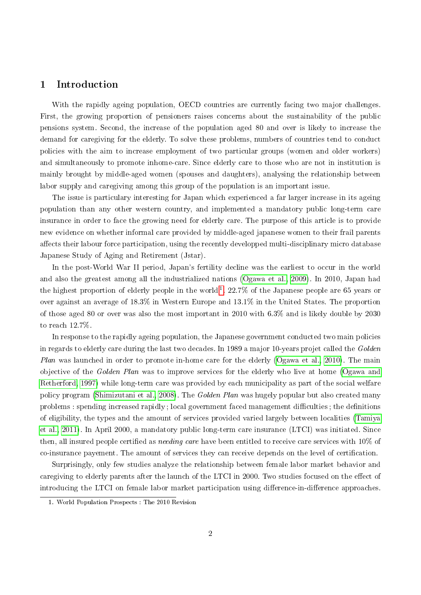## 1 Introduction

With the rapidly ageing population, OECD countries are currently facing two major challenges. First, the growing proportion of pensioners raises concerns about the sustainability of the public pensions system. Second, the increase of the population aged 80 and over is likely to increase the demand for caregiving for the elderly. To solve these problems, numbers of countries tend to conduct policies with the aim to increase employment of two particular groups (women and older workers) and simultaneously to promote inhome-care. Since elderly care to those who are not in institution is mainly brought by middle-aged women (spouses and daughters), analysing the relationship between labor supply and caregiving among this group of the population is an important issue.

The issue is particulary interesting for Japan which experienced a far larger increase in its ageing population than any other western country, and implemented a mandatory public long-term care insurance in order to face the growing need for elderly care. The purpose of this article is to provide new evidence on whether informal care provided by middle-aged japanese women to their frail parents affects their labour force participation, using the recently developped multi-disciplinary micro database Japanese Study of Aging and Retirement (Jstar).

In the post-World War II period, Japan's fertility decline was the earliest to occur in the world and also the greatest among all the industrialized nations [\(Ogawa et al., 2009\)](#page-31-0). In 2010, Japan had the highest proportion of elderly people in the world  $^{1}$  $^{1}$  $^{1}$ . 22.7% of the Japanese people are 65 years or over against an average of 18.3% in Western Europe and 13.1% in the United States. The proportion of those aged 80 or over was also the most important in 2010 with 6.3% and is likely double by 2030 to reach 12.7%.

In response to the rapidly ageing population, the Japanese government conducted two main policies in regards to elderly care during the last two decades. In 1989 a major 10-years projet called the Golden Plan was launched in order to promote in-home care for the elderly [\(Ogawa et al., 2010\)](#page-31-1). The main objective of the Golden Plan was to improve services for the elderly who live at home [\(Ogawa and](#page-31-2) [Retherford, 1997\)](#page-31-2) while long-term care was provided by each municipality as part of the social welfare policy program [\(Shimizutani et al., 2008\)](#page-31-3). The Golden Plan was hugely popular but also created many problems : spending increased rapidly ; local government faced management difficulties ; the definitions of eligibility, the types and the amount of services provided varied largely between localities [\(Tamiya](#page-31-4) [et al., 2011\)](#page-31-4). In April 2000, a mandatory public long-term care insurance (LTCI) was initiated. Since then, all insured people certified as *needing care* have been entitled to receive care services with  $10\%$  of co-insurance payement. The amount of services they can receive depends on the level of certification.

Surprisingly, only few studies analyze the relationship between female labor market behavior and caregiving to elderly parents after the launch of the LTCI in 2000. Two studies focused on the effect of introducing the LTCI on female labor market participation using difference-in-difference approaches.

<span id="page-1-0"></span><sup>1.</sup> World Population Prospects : The 2010 Revision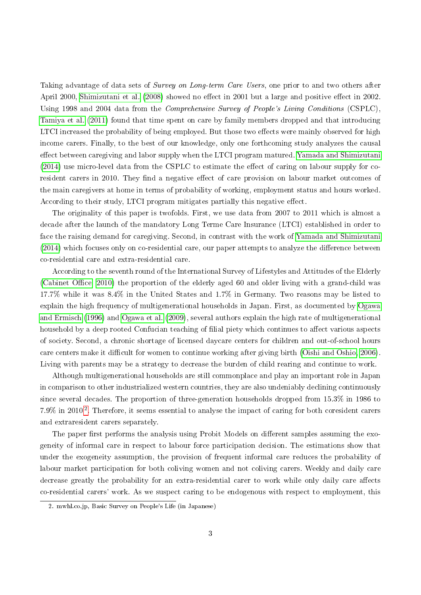Taking advantage of data sets of Survey on Long-term Care Users, one prior to and two others after April 2000, [Shimizutani et al.](#page-31-3) [\(2008\)](#page-31-3) showed no effect in 2001 but a large and positive effect in 2002. Using 1998 and 2004 data from the Comprehensive Survey of People's Living Conditions (CSPLC), [Tamiya et al.](#page-31-4) [\(2011\)](#page-31-4) found that time spent on care by family members dropped and that introducing LTCI increased the probability of being employed. But those two effects were mainly observed for high income carers. Finally, to the best of our knowledge, only one forthcoming study analyzes the causal effect between caregiving and labor supply when the LTCI program matured. [Yamada and Shimizutani](#page-32-0)  $(2014)$  use micro-level data from the CSPLC to estimate the effect of caring on labour supply for coresident carers in 2010. They find a negative effect of care provision on labour market outcomes of the main caregivers at home in terms of probability of working, employment status and hours worked. According to their study, LTCI program mitigates partially this negative effect.

The originality of this paper is twofolds. First, we use data from 2007 to 2011 which is almost a decade after the launch of the mandatory Long Terme Care Insurance (LTCI) established in order to face the raising demand for caregiving. Second, in contrast with the work of [Yamada and Shimizutani](#page-32-0)  $(2014)$  which focuses only on co-residential care, our paper attempts to analyze the difference between co-residential care and extra-residential care.

According to the seventh round of the International Survey of Lifestyles and Attitudes of the Elderly (Cabinet Office, 2010) the proportion of the elderly aged 60 and older living with a grand-child was 17.7% while it was 8.4% in the United States and 1.7% in Germany. Two reasons may be listed to explain the high frequency of multigenerational households in Japan. First, as documented by [Ogawa](#page-31-5) [and Ermisch](#page-31-5) [\(1996\)](#page-31-5) and [Ogawa et al.](#page-31-0) [\(2009\)](#page-31-0), several authors explain the high rate of multigenerational household by a deep rooted Confucian teaching of filial piety which continues to affect various aspects of society. Second, a chronic shortage of licensed daycare centers for children and out-of-school hours care centers make it difficult for women to continue working after giving birth [\(Oishi and Oshio, 2006\)](#page-31-6). Living with parents may be a strategy to decrease the burden of child rearing and continue to work.

Although multigenerational households are still commonplace and play an important role in Japan in comparison to other industrialized western countries, they are also undeniably declining continuously since several decades. The proportion of three-generation households dropped from 15.3% in 1986 to  $7.9\%$  in [2](#page-2-0)010<sup>2</sup>. Therefore, it seems essential to analyse the impact of caring for both coresident carers and extraresident carers separately.

The paper first performs the analysis using Probit Models on different samples assuming the exogeneity of informal care in respect to labour force participation decision. The estimations show that under the exogeneity assumption, the provision of frequent informal care reduces the probability of labour market participation for both coliving women and not coliving carers. Weekly and daily care decrease greatly the probability for an extra-residential carer to work while only daily care affects co-residential carers' work. As we suspect caring to be endogenous with respect to employment, this

<span id="page-2-0"></span><sup>2.</sup> mwhl.co.jp, Basic Survey on People's Life (in Japanese)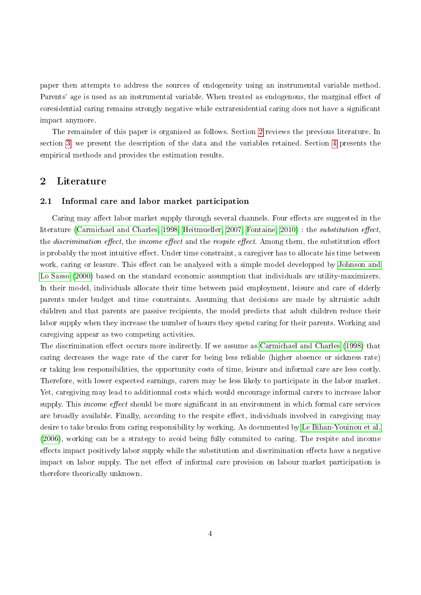paper then attempts to address the sources of endogeneity using an instrumental variable method. Parents' age is used as an instrumental variable. When treated as endogenous, the marginal effect of coresidential caring remains strongly negative while extraresidential caring does not have a signicant impact anymore.

The remainder of this paper is organized as follows. Section [2](#page-3-0) reviews the previous literature. In section [3,](#page-6-0) we present the description of the data and the variables retained. Section [4](#page-10-0) presents the empirical methods and provides the estimation results.

## <span id="page-3-0"></span>2 Literature

#### 2.1 Informal care and labor market participation

Caring may affect labor market supply through several channels. Four effects are suggested in the literature [\(Carmichael and Charles, 1998;](#page-29-1) [Heitmueller, 2007;](#page-30-0) [Fontaine, 2010\)](#page-30-1) : the substitution effect. the *discrimination effect*, the *income effect* and the *respite effect*. Among them, the substitution effect is probably the most intuitive effect. Under time constraint, a caregiver has to allocate his time between work, caring or leasure. This effect can be analyzed with a simple model developped by [Johnson and](#page-30-2) [Lo Sasso](#page-30-2) [\(2000\)](#page-30-2) based on the standard economic assumption that individuals are utility-maximizers. In their model, individuals allocate their time between paid employment, leisure and care of elderly parents under budget and time constraints. Assuming that decisions are made by altruistic adult children and that parents are passive recipients, the model predicts that adult children reduce their labor supply when they increase the number of hours they spend caring for their parents. Working and caregiving appear as two competing activities.

The discrimination effect occurs more indirectly. If we assume as [Carmichael and Charles](#page-29-1) [\(1998\)](#page-29-1) that caring decreases the wage rate of the carer for being less reliable (higher absence or sickness rate) or taking less responsibilities, the opportunity costs of time, leisure and informal care are less costly. Therefore, with lower expected earnings, carers may be less likely to participate in the labor market. Yet, caregiving may lead to additionnal costs which would encourage informal carers to increase labor supply. This *income effect* should be more significant in an environment in which formal care services are broadly available. Finally, according to the respite effect, individuals involved in caregiving may desire to take breaks from caring responsibility by working. As documented by [Le Bihan-Youinou et al.](#page-30-3) [\(2006\)](#page-30-3), working can be a strategy to avoid being fully commited to caring. The respite and income effects impact positively labor supply while the substitution and discrimination effects have a negative impact on labor supply. The net effect of informal care provision on labour market participation is therefore theorically unknown.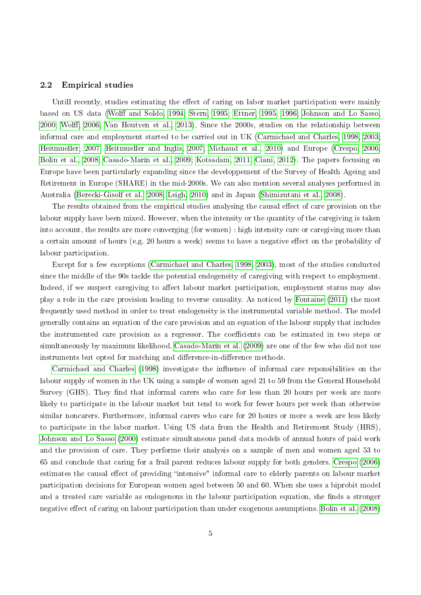#### 2.2 Empirical studies

Untill recently, studies estimating the effect of caring on labor market participation were mainly based on US data (Wolff and Soldo, 1994; [Stern, 1995;](#page-31-7) [Ettner, 1995,](#page-30-4) [1996;](#page-30-5) [Johnson and Lo Sasso,](#page-30-2) [2000;](#page-30-2) Wolff, 2006; [Van Houtven et al., 2013\)](#page-32-3). Since the 2000s, studies on the relationship between informal care and employment started to be carried out in UK [\(Carmichael and Charles, 1998,](#page-29-1) [2003;](#page-29-2) [Heitmueller, 2007;](#page-30-0) [Heitmueller and Inglis, 2007;](#page-30-6) [Michaud et al., 2010\)](#page-30-7) and Europe [\(Crespo, 2006;](#page-29-3) [Bolin et al., 2008;](#page-29-4) [Casado-Marín et al., 2009;](#page-29-5) [Kotsadam, 2011;](#page-30-8) [Ciani, 2012\)](#page-29-6). The papers focusing on Europe have been particularly expanding since the developpement of the Survey of Health Ageing and Retirement in Europe (SHARE) in the mid-2000s. We can also mention several analyses performed in Australia [\(Berecki-Gisolf et al., 2008;](#page-29-7) [Leigh, 2010\)](#page-30-9) and in Japan [\(Shimizutani et al., 2008\)](#page-31-3).

The results obtained from the empirical studies analysing the causal effect of care provision on the labour supply have been mixed. However, when the intensity or the quantity of the caregiving is taken into account, the results are more converging (for women) : high intensity care or caregiving more than a certain amount of hours (e.g. 20 hours a week) seems to have a negative effect on the probability of labour participation.

Except for a few exceptions [\(Carmichael and Charles, 1998,](#page-29-1) [2003\)](#page-29-2), most of the studies conducted since the middle of the 90s tackle the potential endogeneity of caregiving with respect to employment. Indeed, if we suspect caregiving to affect labour market participation, employment status may also play a role in the care provision leading to reverse causality. As noticed by [Fontaine](#page-30-10) [\(2011\)](#page-30-10) the most frequently used method in order to treat endogeneity is the instrumental variable method. The model generally contains an equation of the care provision and an equation of the labour supply that includes the instrumented care provision as a regressor. The coefficients can be estimated in two steps or simultaneously by maximum likelihood. [Casado-Marín et al.](#page-29-5) [\(2009\)](#page-29-5) are one of the few who did not use instruments but opted for matching and difference-in-difference methods.

[Carmichael and Charles](#page-29-1) [\(1998\)](#page-29-1) investigate the influence of informal care reponsibilities on the labour supply of women in the UK using a sample of women aged 21 to 59 from the General Household Survey (GHS). They find that informal carers who care for less than 20 hours per week are more likely to participate in the labour market but tend to work for fewer hours per week than otherwise similar noncarers. Furthermore, informal carers who care for 20 hours or more a week are less likely to participate in the labor market. Using US data from the Health and Retirement Study (HRS), [Johnson and Lo Sasso](#page-30-2) [\(2000\)](#page-30-2) estimate simultaneous panel data models of annual hours of paid work and the provision of care. They performe their analysis on a sample of men and women aged 53 to 65 and conclude that caring for a frail parent reduces labour supply for both genders. [Crespo](#page-29-3) [\(2006\)](#page-29-3) estimates the causal effect of providing "intensive" informal care to elderly parents on labour market participation decisions for European women aged between 50 and 60. When she uses a biprobit model and a treated care variable as endogenous in the labour participation equation, she finds a stronger negative effect of caring on labour participation than under exogenous assumptions. [Bolin et al.](#page-29-4) [\(2008\)](#page-29-4)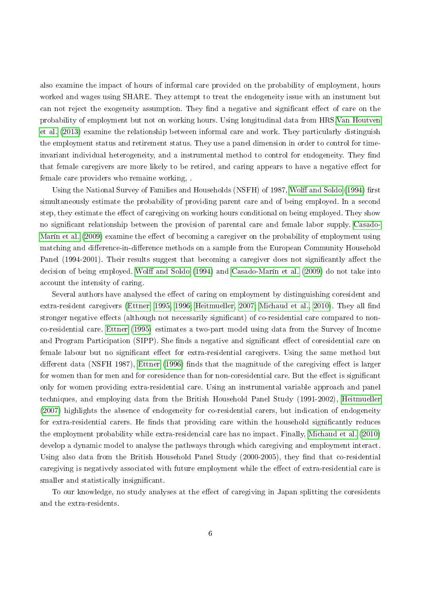also examine the impact of hours of informal care provided on the probability of employment, hours worked and wages using SHARE. They attempt to treat the endogeneity issue with an instument but can not reject the exogeneity assumption. They find a negative and significant effect of care on the probability of employment but not on working hours. Using longitudinal data from HRS[,Van Houtven](#page-32-3) [et al.](#page-32-3) [\(2013\)](#page-32-3) examine the relationship between informal care and work. They particularly distinguish the employment status and retirement status. They use a panel dimension in order to control for timeinvariant individual heterogeneity, and a instrumental method to control for endogeneity. They find that female caregivers are more likely to be retired, and caring appears to have a negative effect for female care providers who remaine working, .

Using the National Survey of Families and Households (NSFH) of 1987, Wolff and Soldo [\(1994\)](#page-32-1) first simultaneously estimate the probability of providing parent care and of being employed. In a second step, they estimate the effect of caregiving on working hours conditional on being employed. They show no signicant relationship between the provision of parental care and female labor supply. [Casado-](#page-29-5)[Marín et al.](#page-29-5) [\(2009\)](#page-29-5) examine the effect of becoming a caregiver on the probability of employment using matching and difference-in-difference methods on a sample from the European Community Household Panel (1994-2001). Their results suggest that becoming a caregiver does not significantly affect the decision of being employed. Wolff and Soldo [\(1994\)](#page-32-1) and [Casado-Marín et al.](#page-29-5) [\(2009\)](#page-29-5) do not take into account the intensity of caring.

Several authors have analysed the effect of caring on employment by distinguishing coresident and extra-resident caregivers [\(Ettner, 1995,](#page-30-4) [1996;](#page-30-5) [Heitmueller, 2007;](#page-30-0) [Michaud et al., 2010\)](#page-30-7). They all find stronger negative effects (although not necessarily significant) of co-residential care compared to nonco-residential care. [Ettner](#page-30-4) [\(1995\)](#page-30-4) estimates a two-part model using data from the Survey of Income and Program Participation (SIPP). She finds a negative and significant effect of coresidential care on female labour but no significant effect for extra-residential caregivers. Using the same method but different data (NSFH 1987), [Ettner](#page-30-5) [\(1996\)](#page-30-5) finds that the magnitude of the caregiving effect is larger for women than for men and for coresidence than for non-coresidential care. But the effect is significant only for women providing extra-residential care. Using an instrumental variable approach and panel techniques, and employing data from the British Household Panel Study (1991-2002), [Heitmueller](#page-30-0) [\(2007\)](#page-30-0) highlights the absence of endogeneity for co-residential carers, but indication of endogeneity for extra-residential carers. He finds that providing care within the household significantly reduces the employment probability while extra-residencial care has no impact. Finally, [Michaud et al.](#page-30-7) [\(2010\)](#page-30-7) develop a dynamic model to analyse the pathways through which caregiving and employment interact. Using also data from the British Household Panel Study  $(2000-2005)$ , they find that co-residential caregiving is negatively associated with future employment while the effect of extra-residential care is smaller and statistically insignicant.

To our knowledge, no study analyses at the effect of caregiving in Japan splitting the coresidents and the extra-residents.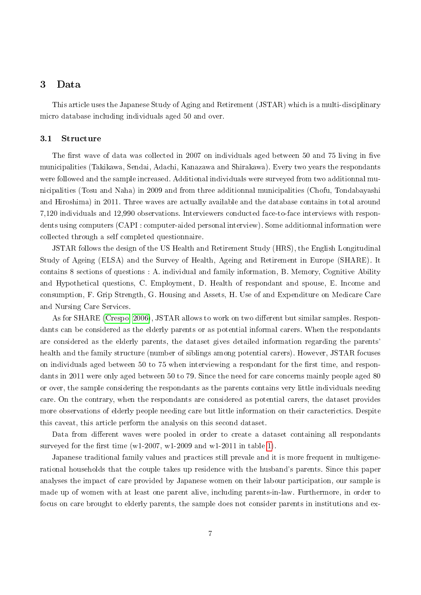## <span id="page-6-0"></span>3 Data

This article uses the Japanese Study of Aging and Retirement (JSTAR) which is a multi-disciplinary micro database including individuals aged 50 and over.

#### 3.1 Structure

The first wave of data was collected in 2007 on individuals aged between 50 and 75 living in five municipalities (Takikawa, Sendai, Adachi, Kanazawa and Shirakawa). Every two years the respondants were followed and the sample increased. Additional individuals were surveyed from two additionnal municipalities (Tosu and Naha) in 2009 and from three additionnal municipalities (Chofu, Tondabayashi and Hiroshima) in 2011. Three waves are actually available and the database contains in total around 7,120 individuals and 12,990 observations. Interviewers conducted face-to-face interviews with respondents using computers (CAPI : computer-aided personal interview). Some additionnal information were collected through a self completed questionnaire.

JSTAR follows the design of the US Health and Retirement Study (HRS), the English Longitudinal Study of Ageing (ELSA) and the Survey of Health, Ageing and Retirement in Europe (SHARE). It contains 8 sections of questions : A. individual and family information, B. Memory, Cognitive Ability and Hypothetical questions, C. Employment, D. Health of respondant and spouse, E. Income and consumption, F. Grip Strength, G. Housing and Assets, H. Use of and Expenditure on Medicare Care and Nursing Care Services.

As for SHARE [\(Crespo, 2006\)](#page-29-3), JSTAR allows to work on two different but similar samples. Respondants can be considered as the elderly parents or as potential informal carers. When the respondants are considered as the elderly parents, the dataset gives detailed information regarding the parents' health and the family structure (number of siblings among potential carers). However, JSTAR focuses on individuals aged between 50 to 75 when interviewing a respondant for the first time, and respondants in 2011 were only aged between 50 to 79. Since the need for care concerns mainly people aged 80 or over, the sample considering the respondants as the parents contains very little individuals needing care. On the contrary, when the respondants are considered as potential carers, the dataset provides more observations of elderly people needing care but little information on their caracterictics. Despite this caveat, this article perform the analysis on this second dataset.

Data from different waves were pooled in order to create a dataset containing all respondants surveyed for the first time (w1-2007, w1-2009 and w1-2011 in table [1\)](#page-7-0).

Japanese traditional family values and practices still prevale and it is more frequent in multigenerational households that the couple takes up residence with the husband's parents. Since this paper analyses the impact of care provided by Japanese women on their labour participation, our sample is made up of women with at least one parent alive, including parents-in-law. Furthermore, in order to focus on care brought to elderly parents, the sample does not consider parents in institutions and ex-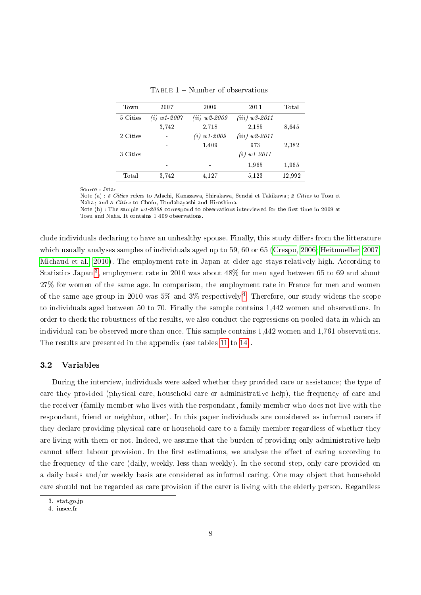| Town     | 2007                | 2009                     | 2011               | Total  |
|----------|---------------------|--------------------------|--------------------|--------|
| 5 Cities | $(i) \; w1 \; 2007$ | $(ii)$ w2-2009           | $(iii)$ w3-2011    |        |
|          | 3,742               | 2,718                    | 2,185              | 8,645  |
| 2 Cities |                     | $(i) \; w1 - 2009$       | $(iii)$ w2-2011    |        |
|          |                     | 1,409                    | 973                | 2,382  |
| 3 Cities |                     |                          | $(i) \; w1 - 2011$ |        |
|          | -                   | $\overline{\phantom{0}}$ | 1,965              | 1,965  |
| Total    | 3.742               | 4.127                    | 5,123              | 12,992 |
|          |                     |                          |                    |        |

<span id="page-7-0"></span>TABLE  $1$  – Number of observations

Source : Jstar

Note (a) : 5 Cities refers to Adachi, Kanazawa, Shirakawa, Sendai et Takikawa ; 2 Cities to Tosu et Naha ; and 3 Cities to Chofu, Tondabayashi and Hiroshima. Note (b) : The sample  $w1$ -2009 correspond to observations interviewed for the first time in 2009 at Tosu and Naha. It contains 1 409 observations.

clude individuals declaring to have an unhealthy spouse. Finally, this study differs from the litterature which usually analyses samples of individuals aged up to 59, 60 or 65 [\(Crespo, 2006;](#page-29-3) [Heitmueller, 2007;](#page-30-0) [Michaud et al., 2010\)](#page-30-7). The employment rate in Japan at elder age stays relatively high. According to Statistics Japan $^3,$  $^3,$  $^3,$  employment rate in 2010 was about 48% for men aged between 65 to 69 and about 27% for women of the same age. In comparison, the employment rate in France for men and women of the same age group in 2010 was 5% and 3% respectively <sup>[4](#page-7-2)</sup>. Therefore, our study widens the scope to individuals aged between 50 to 70. Finally the sample contains 1,442 women and observations. In order to check the robustness of the results, we also conduct the regressions on pooled data in which an individual can be observed more than once. This sample contains 1,442 women and 1,761 observations. The results are presented in the appendix (see tables [11](#page-25-0) to [14\)](#page-28-0).

#### 3.2 Variables

During the interview, individuals were asked whether they provided care or assistance ; the type of care they provided (physical care, household care or administrative help), the frequency of care and the receiver (family member who lives with the respondant, family member who does not live with the respondant, friend or neighbor, other). In this paper individuals are considered as informal carers if they declare providing physical care or household care to a family member regardless of whether they are living with them or not. Indeed, we assume that the burden of providing only administrative help cannot affect labour provision. In the first estimations, we analyse the effect of caring according to the frequency of the care (daily, weekly, less than weekly). In the second step, only care provided on a daily basis and/or weekly basis are considered as informal caring. One may object that household care should not be regarded as care provision if the carer is living with the elderly person. Regardless

<span id="page-7-1"></span><sup>3.</sup> stat.go.jp

<span id="page-7-2"></span><sup>4.</sup> insee.fr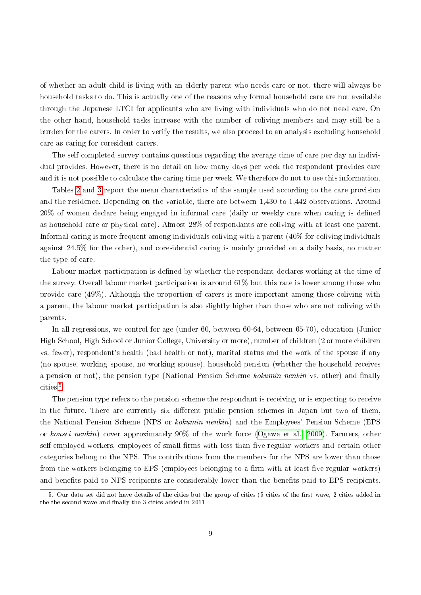of whether an adult-child is living with an elderly parent who needs care or not, there will always be household tasks to do. This is actually one of the reasons why formal household care are not available through the Japanese LTCI for applicants who are living with individuals who do not need care. On the other hand, household tasks increase with the number of coliving members and may still be a burden for the carers. In order to verify the results, we also proceed to an analysis excluding household care as caring for coresident carers.

The self completed survey contains questions regarding the average time of care per day an individual provides. However, there is no detail on how many days per week the respondant provides care and it is not possible to calculate the caring time per week. We therefore do not to use this information.

Tables [2](#page-9-0) and [3](#page-10-1) report the mean characteristics of the sample used according to the care provision and the residence. Depending on the variable, there are between 1,430 to 1,442 observations. Around  $20\%$  of women declare being engaged in informal care (daily or weekly care when caring is defined as household care or physical care). Almost 28% of respondants are coliving with at least one parent. Informal caring is more frequent among individuals coliving with a parent (40% for coliving individuals against 24.5% for the other), and coresidential caring is mainly provided on a daily basis, no matter the type of care.

Labour market participation is defined by whether the respondant declares working at the time of the survey. Overall labour market participation is around 61% but this rate is lower among those who provide care (49%). Although the proportion of carers is more important among those coliving with a parent, the labour market participation is also slightly higher than those who are not coliving with parents.

In all regressions, we control for age (under 60, between 60-64, between 65-70), education (Junior High School, High School or Junior College, University or more), number of children (2 or more children vs. fewer), respondant's health (bad health or not), marital status and the work of the spouse if any (no spouse, working spouse, no working spouse), household pension (whether the household receives a pension or not), the pension type (National Pension Scheme kokumin nenkin vs. other) and finally cities<sup>[5](#page-8-0)</sup>.

The pension type refers to the pension scheme the respondant is receiving or is expecting to receive in the future. There are currently six different public pension schemes in Japan but two of them, the National Pension Scheme (NPS or kokumin nenkin) and the Employees' Pension Scheme (EPS or kousei nenkin) cover approximately 90% of the work force [\(Ogawa et al., 2009\)](#page-31-0). Farmers, other self-employed workers, employees of small firms with less than five regular workers and certain other categories belong to the NPS. The contributions from the members for the NPS are lower than those from the workers belonging to EPS (employees belonging to a firm with at least five regular workers) and benefits paid to NPS recipients are considerably lower than the benefits paid to EPS recipients.

<span id="page-8-0"></span><sup>5.</sup> Our data set did not have details of the cities but the group of cities (5 cities of the first wave, 2 cities added in the the second wave and finally the 3 cities added in 2011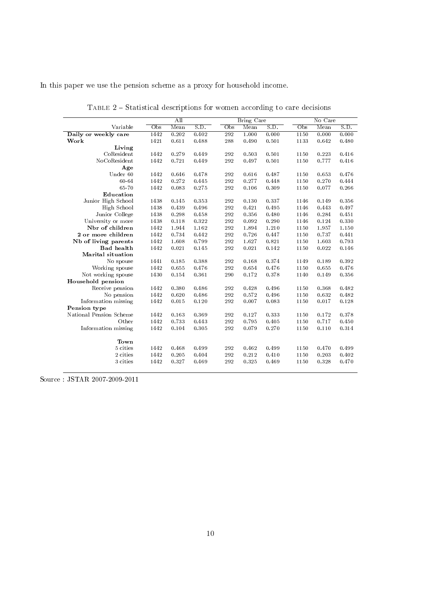In this paper we use the pension scheme as a proxy for household income.

|                         |      | All   |       |     | <b>Bring Care</b> |       |      | No Care |       |
|-------------------------|------|-------|-------|-----|-------------------|-------|------|---------|-------|
| Variable                | Obs  | Mean  | S.D.  | Obs | Mean              | S.D.  | Obs  | Mean    | S.D.  |
| Daily or weekly care    | 1442 | 0.202 | 0.402 | 292 | 1.000             | 0.000 | 1150 | 0.000   | 0.000 |
| Work                    | 1421 | 0.611 | 0.488 | 288 | 0.490             | 0.501 | 1133 | 0.642   | 0.480 |
| Living                  |      |       |       |     |                   |       |      |         |       |
| CoResident              | 1442 | 0.279 | 0.449 | 292 | 0.503             | 0.501 | 1150 | 0.223   | 0.416 |
| NoCoResident            | 1442 | 0.721 | 0.449 | 292 | 0.497             | 0.501 | 1150 | 0.777   | 0.416 |
| Age                     |      |       |       |     |                   |       |      |         |       |
| Under 60                | 1442 | 0.646 | 0.478 | 292 | 0.616             | 0.487 | 1150 | 0.653   | 0.476 |
| 60-64                   | 1442 | 0.272 | 0.445 | 292 | 0.277             | 0.448 | 1150 | 0.270   | 0.444 |
| 65-70                   | 1442 | 0.083 | 0.275 | 292 | 0.106             | 0.309 | 1150 | 0.077   | 0.266 |
| Education               |      |       |       |     |                   |       |      |         |       |
| Junior High School      | 1438 | 0.145 | 0.353 | 292 | 0.130             | 0.337 | 1146 | 0.149   | 0.356 |
| High School             | 1438 | 0.439 | 0.496 | 292 | 0.421             | 0.495 | 1146 | 0.443   | 0.497 |
| Junior College          | 1438 | 0.298 | 0.458 | 292 | 0.356             | 0.480 | 1146 | 0.284   | 0.451 |
| University or more      | 1438 | 0.118 | 0.322 | 292 | 0.092             | 0.290 | 1146 | 0.124   | 0.330 |
| Nbr of children         | 1442 | 1.944 | 1.162 | 292 | 1.894             | 1.210 | 1150 | 1.957   | 1.150 |
| 2 or more children      | 1442 | 0.734 | 0.442 | 292 | 0.726             | 0.447 | 1150 | 0.737   | 0.441 |
| Nb of living parents    | 1442 | 1.608 | 0.799 | 292 | 1.627             | 0.821 | 1150 | 1.603   | 0.793 |
| <b>Bad</b> health       | 1442 | 0.021 | 0.145 | 292 | 0.021             | 0.142 | 1150 | 0.022   | 0.146 |
| Marital situation       |      |       |       |     |                   |       |      |         |       |
| No spouse               | 1441 | 0.185 | 0.388 | 292 | 0.168             | 0.374 | 1149 | 0.189   | 0.392 |
| Working spouse          | 1442 | 0.655 | 0.476 | 292 | 0.654             | 0.476 | 1150 | 0.655   | 0.476 |
| Not working spouse      | 1430 | 0.154 | 0.361 | 290 | 0.172             | 0.378 | 1140 | 0.149   | 0.356 |
| Household pension       |      |       |       |     |                   |       |      |         |       |
| Receive pension         | 1442 | 0.380 | 0.486 | 292 | 0.428             | 0.496 | 1150 | 0.368   | 0.482 |
| No pension              | 1442 | 0.620 | 0.486 | 292 | 0.572             | 0.496 | 1150 | 0.632   | 0.482 |
| Information missing     | 1442 | 0.015 | 0.120 | 292 | 0.007             | 0.083 | 1150 | 0.017   | 0.128 |
| Pension type            |      |       |       |     |                   |       |      |         |       |
| National Pension Scheme | 1442 | 0.163 | 0.369 | 292 | 0.127             | 0.333 | 1150 | 0.172   | 0.378 |
| Other                   | 1442 | 0.733 | 0.443 | 292 | 0.795             | 0.405 | 1150 | 0.717   | 0.450 |
| Information missing     | 1442 | 0.104 | 0.305 | 292 | 0.079             | 0.270 | 1150 | 0.110   | 0.314 |
| Town                    |      |       |       |     |                   |       |      |         |       |
| 5 cities                | 1442 | 0.468 | 0.499 | 292 | 0.462             | 0.499 | 1150 | 0.470   | 0.499 |
| 2 cities                | 1442 | 0.205 | 0.404 | 292 | 0.212             | 0.410 | 1150 | 0.203   | 0.402 |
| 3 cities                | 1442 | 0.327 | 0.469 | 292 | 0.325             | 0.469 | 1150 | 0.328   | 0.470 |
|                         |      |       |       |     |                   |       |      |         |       |

<span id="page-9-0"></span>TABLE  $2$  – Statistical descriptions for women according to care decisions

Source : JSTAR 2007-2009-2011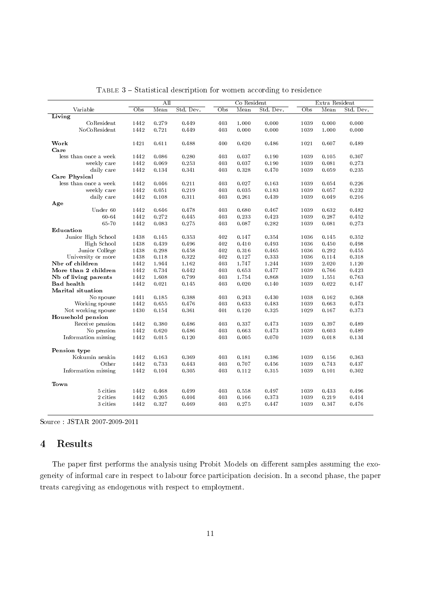|                       |              | All   |           |                           | Co Resident |           |                           | Extra Resident |           |
|-----------------------|--------------|-------|-----------|---------------------------|-------------|-----------|---------------------------|----------------|-----------|
| Variable              | $_{\rm Obs}$ | Mean  | Std. Dev. | $\overline{\mathrm{Obs}}$ | Mean        | Std. Dev. | $\overline{\mathrm{Obs}}$ | Mean           | Std. Dev. |
| Living                |              |       |           |                           |             |           |                           |                |           |
| CoResident            | 1442         | 0.279 | 0.449     | 403                       | 1.000       | 0.000     | 1039                      | 0.000          | 0.000     |
| NoCoResident          | 1442         | 0.721 | 0.449     | 403                       | 0.000       | 0.000     | 1039                      | 1.000          | 0.000     |
|                       |              |       |           |                           |             |           |                           |                |           |
| Work                  | 1421         | 0.611 | 0.488     | 400                       | 0.620       | 0.486     | 1021                      | 0.607          | 0.489     |
| Care                  |              |       |           |                           |             |           |                           |                |           |
| less than once a week | 1442         | 0.086 | 0.280     | 403                       | 0.037       | 0.190     | 1039                      | 0.105          | 0.307     |
| weekly care           | 1442         | 0.069 | 0.253     | 403                       | 0.037       | 0.190     | 1039                      | 0.081          | 0.273     |
| daily care            | 1442         | 0.134 | 0.341     | 403                       | 0.328       | 0.470     | 1039                      | 0.059          | 0.235     |
| <b>Care Physical</b>  |              |       |           |                           |             |           |                           |                |           |
| less than once a week | 1442         | 0.046 | 0.211     | 403                       | 0.027       | 0.163     | 1039                      | 0.054          | 0.226     |
| weekly care           | 1442         | 0.051 | 0.219     | 403                       | 0.035       | 0.183     | 1039                      | 0.057          | 0.232     |
| daily care            | 1442         | 0.108 | 0.311     | 403                       | 0.261       | 0.439     | 1039                      | 0.049          | 0.216     |
| Age                   |              |       |           |                           |             |           |                           |                |           |
| Under 60              | 1442         | 0.646 | 0.478     | 403                       | 0.680       | 0.467     | 1039                      | 0.632          | 0.482     |
| 60-64                 | 1442         | 0.272 | 0.445     | 403                       | 0.233       | 0.423     | 1039                      | 0.287          | 0.452     |
| 65-70                 | 1442         | 0.083 | 0.275     | 403                       | 0.087       | 0.282     | 1039                      | 0.081          | 0.273     |
| Education             |              |       |           |                           |             |           |                           |                |           |
| Junior High School    | 1438         | 0.145 | 0.353     | 402                       | 0.147       | 0.354     | 1036                      | 0.145          | 0.352     |
| High School           | 1438         | 0.439 | 0.496     | 402                       | 0.410       | 0.493     | 1036                      | 0.450          | 0.498     |
| Junior College        | 1438         | 0.298 | 0.458     | 402                       | 0.316       | 0.465     | 1036                      | 0.292          | 0.455     |
| University or more    | 1438         | 0.118 | 0.322     | 402                       | 0.127       | 0.333     | 1036                      | 0.114          | 0.318     |
| Nbr of children       | 1442         | 1.944 | 1.162     | 403                       | 1.747       | 1.244     | 1039                      | 2.020          | 1.120     |
| More than 2 children  | 1442         | 0.734 | 0.442     | 403                       | 0.653       | 0.477     | 1039                      | 0.766          | 0.423     |
| Nb of living parents  | 1442         | 1.608 | 0.799     | 403                       | 1.754       | 0.868     | 1039                      | 1.551          | 0.763     |
| <b>Bad</b> health     | 1442         | 0.021 | 0.145     | 403                       | 0.020       | 0.140     | 1039                      | 0.022          | 0.147     |
| Marital situation     |              |       |           |                           |             |           |                           |                |           |
| No spouse             | 1441         | 0.185 | 0.388     | 403                       | 0.243       | 0.430     | 1038                      | 0.162          | 0.368     |
| Working spouse        | 1442         | 0.655 | 0.476     | 403                       | 0.633       | 0.483     | 1039                      | 0.663          | 0.473     |
| Not working spouse    | 1430         | 0.154 | 0.361     | 401                       | 0.120       | 0.325     | 1029                      | 0.167          | 0.373     |
| Household pension     |              |       |           |                           |             |           |                           |                |           |
| Receive pension       | 1442         | 0.380 | 0.486     | 403                       | 0.337       | 0.473     | 1039                      | 0.397          | 0.489     |
| No pension            | 1442         | 0.620 | 0.486     | 403                       | 0.663       | 0.473     | 1039                      | 0.603          | 0.489     |
| Information missing   | 1442         | 0.015 | 0.120     | 403                       | 0.005       | 0.070     | 1039                      | 0.018          | 0.134     |
|                       |              |       |           |                           |             |           |                           |                |           |
| Pension type          |              |       |           |                           |             |           |                           |                |           |
| Kokumin nenkin        | 1442         | 0.163 | 0.369     | 403                       | 0.181       | 0.386     | 1039                      | 0.156          | 0.363     |
| Other                 | 1442         | 0.733 | 0.443     | 403                       | 0.707       | 0.456     | 1039                      | 0.743          | 0.437     |
| Information missing   | 1442         | 0.104 | 0.305     | 403                       | 0.112       | 0.315     | 1039                      | 0.101          | 0.302     |
|                       |              |       |           |                           |             |           |                           |                |           |
| Town                  |              |       |           |                           |             |           |                           |                |           |
| 5 cities              | 1442         | 0.468 | 0.499     | 403                       | 0.558       | 0.497     | 1039                      | 0.433          | 0.496     |
| 2 cities              | 1442         | 0.205 | 0.404     | 403                       | 0.166       | 0.373     | 1039                      | 0.219          | 0.414     |
| 3 cities              | 1442         | 0.327 | 0.469     | 403                       | 0.275       | 0.447     | 1039                      | 0.347          | 0.476     |
|                       |              |       |           |                           |             |           |                           |                |           |

<span id="page-10-1"></span>TABLE 3 - Statistical description for women according to residence

Source : JSTAR 2007-2009-2011

## <span id="page-10-0"></span>4 Results

The paper first performs the analysis using Probit Models on different samples assuming the exogeneity of informal care in respect to labour force participation decision. In a second phase, the paper treats caregiving as endogenous with respect to employment.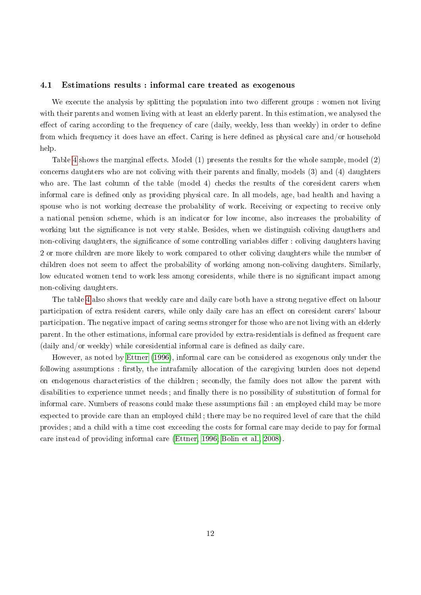#### 4.1 Estimations results : informal care treated as exogenous

We execute the analysis by splitting the population into two different groups : women not living with their parents and women living with at least an elderly parent. In this estimation, we analysed the effect of caring according to the frequency of care (daily, weekly, less than weekly) in order to define from which frequency it does have an effect. Caring is here defined as physical care and/or household help.

Table [4](#page-12-0) shows the marginal effects. Model  $(1)$  presents the results for the whole sample, model  $(2)$ concerns daughters who are not coliving with their parents and finally, models  $(3)$  and  $(4)$  daughters who are. The last column of the table (model 4) checks the results of the coresident carers when informal care is defined only as providing physical care. In all models, age, bad health and having a spouse who is not working decrease the probability of work. Receiving or expecting to receive only a national pension scheme, which is an indicator for low income, also increases the probability of working but the significance is not very stable. Besides, when we distinguish coliving daugthers and non-coliving daughters, the significance of some controlling variables differ : coliving daughters having 2 or more children are more likely to work compared to other coliving daughters while the number of children does not seem to affect the probability of working among non-coliving daughters. Similarly, low educated women tend to work less among coresidents, while there is no significant impact among non-coliving daughters.

The table [4](#page-12-0) also shows that weekly care and daily care both have a strong negative effect on labour participation of extra resident carers, while only daily care has an effect on coresident carers' labour participation. The negative impact of caring seems stronger for those who are not living with an elderly parent. In the other estimations, informal care provided by extra-residentials is dened as frequent care  $(daily and/or weekly) while coresidental informal care is defined as daily care.$ 

However, as noted by [Ettner](#page-30-5) [\(1996\)](#page-30-5), informal care can be considered as exogenous only under the following assumptions: firstly, the intrafamily allocation of the caregiving burden does not depend on endogenous characteristics of the children ; secondly, the family does not allow the parent with disabilities to experience unmet needs; and finally there is no possibility of substitution of formal for informal care. Numbers of reasons could make these assumptions fail : an employed child may be more expected to provide care than an employed child ; there may be no required level of care that the child provides ; and a child with a time cost exceeding the costs for formal care may decide to pay for formal care instead of providing informal care [\(Ettner, 1996;](#page-30-5) [Bolin et al., 2008\)](#page-29-4).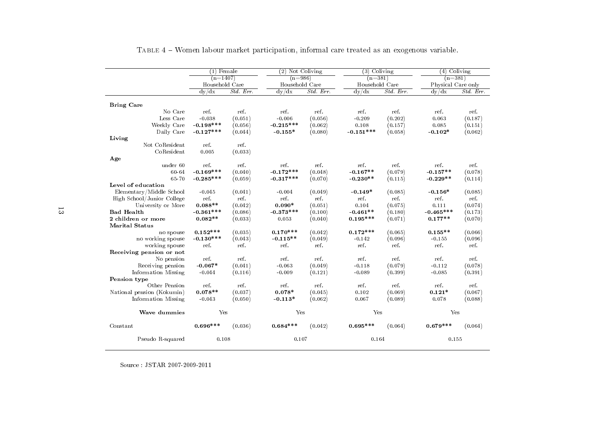| <b>Bring Care</b><br>No Care | $(n=1407)$<br>Household Care<br>dy/dx<br>ref.<br>$-0.038$ | Std. Err.<br>ref. | $(n=986)$<br>Household Care<br>dy/dx | $\overline{Std. Err.}$ | $(n=381)$<br>Household Care<br>dy/dx | Std. Err | $(n=381)$<br>Physical Care only<br>dy/dx | Std. Err. |
|------------------------------|-----------------------------------------------------------|-------------------|--------------------------------------|------------------------|--------------------------------------|----------|------------------------------------------|-----------|
|                              |                                                           |                   |                                      |                        |                                      |          |                                          |           |
|                              |                                                           |                   |                                      |                        |                                      |          |                                          |           |
|                              |                                                           |                   |                                      |                        |                                      |          |                                          |           |
|                              |                                                           |                   |                                      |                        |                                      |          |                                          |           |
|                              |                                                           |                   | ref.                                 | ref.                   | ref.                                 | ref.     | ref.                                     | ref.      |
| Less Care                    |                                                           | (0.051)           | $-0.006$                             | (0.056)                | $-0.209$                             | (0.202)  | 0.063                                    | (0.187)   |
| Weekly Care                  | $-0.198***$                                               | (0.056)           | $-0.215***$                          | (0.062)                | 0.108                                | (0.157)  | 0.085                                    | (0.151)   |
| Daily Care                   | $-0.127***$                                               | (0.044)           | $-0.155*$                            | (0.080)                | $-0.151***$                          | (0.058)  | $-0.102*$                                | (0.062)   |
| Living                       |                                                           |                   |                                      |                        |                                      |          |                                          |           |
| Not CoResident               | ref.                                                      | ref.              |                                      |                        |                                      |          |                                          |           |
| CoResident                   | 0.005                                                     | (0.033)           |                                      |                        |                                      |          |                                          |           |
| Age                          |                                                           |                   |                                      |                        |                                      |          |                                          |           |
| under 60                     | ref.                                                      | ref.              | ref.                                 | ref.                   | ref.                                 | ref.     | ref.                                     | ref.      |
| 60-64                        | $-0.169***$                                               | (0.040)           | $-0.172***$                          | (0.048)                | $-0.167**$                           | (0.079)  | $-0.157**$                               | (0.078)   |
| 65-70                        | $-0.285***$                                               | (0.059)           | $-0.317***$                          | (0.070)                | $-0.230**$                           | (0.115)  | $-0.229**$                               | (0.114)   |
| Level of education           |                                                           |                   |                                      |                        |                                      |          |                                          |           |
| Elementary/Middle School     | $-0.045$                                                  | (0.041)           | $-0.004$                             | (0.049)                | $-0.149*$                            | (0.085)  | $-0.156*$                                | (0.085)   |
| High School/Junior College   | ref.                                                      | ref.              | ref.                                 | ref.                   | ref.                                 | ref.     | ref.                                     | ref.      |
| University or More           | $0.088**$                                                 | (0.042)           | $0.090*$                             | (0.051)                | 0.104                                | (0.075)  | 0.111                                    | (0.074)   |
| <b>Bad Health</b>            | $-0.361***$                                               | (0.086)           | $-0.373***$                          | (0.100)                | $-0.461**$                           | (0.180)  | $-0.465***$                              | (0.173)   |
| 2 children or more           | $0.082**$                                                 | (0.033)           | 0.053                                | (0.040)                | $0.195***$                           | (0.071)  | $0.177**$                                | (0.070)   |
| <b>Marital Status</b>        |                                                           |                   |                                      |                        |                                      |          |                                          |           |
| no spouse                    | $0.152***$                                                | (0.035)           | $0.170***$                           | (0.042)                | $0.172***$                           | (0.065)  | $0.155**$                                | (0.066)   |
| no working spouse            | $-0.130***$                                               | (0.043)           | $-0.115**$                           | (0.049)                | $-0.142$                             | (0.096)  | $-0.155$                                 | (0.096)   |
| working spouse               | ref.                                                      | ref.              | ref.                                 | ref.                   | ref.                                 | ref.     | ref.                                     | ref.      |
| Receiving pension or not     |                                                           |                   |                                      |                        |                                      |          |                                          |           |
| No pension                   | ref.                                                      | ref.              | ref.                                 | ref.                   | ref.                                 | ref.     | ref.                                     | ref.      |
| Receiving pension            | $-0.067*$                                                 | (0.041)           | $-0.063$                             | (0.049)                | $-0.118$                             | (0.079)  | $-0.112$                                 | (0.078)   |
| Information Missing          | $-0.044$                                                  | (0.116)           | $-0.009$                             | (0.121)                | $-0.089$                             | (0.399)  | $-0.085$                                 | (0.391)   |
| Pension type                 |                                                           |                   |                                      |                        |                                      |          |                                          |           |
| Other Pension                | ref.                                                      | ref.              | ref.                                 | ref.                   | ref.                                 | ref.     | ref.                                     | ref.      |
| National pension (Kokumin)   | $0.078**$                                                 | (0.037)           | $0.078*$                             | (0.045)                | 0.102                                | (0.069)  | $0.121*$                                 | (0.067)   |
| Information Missing          | $-0.043$                                                  | (0.050)           | $-0.113*$                            | (0.062)                | 0.067                                | (0.089)  | 0.078                                    | (0.088)   |
| Wave dummies                 | Yes                                                       |                   | Yes                                  |                        | Yes                                  |          | Yes                                      |           |
| Constant                     | $0.696***$                                                | (0.036)           | $0.684***$                           | (0.042)                | $0.695***$                           | (0.064)  | $0.679***$                               | (0.064)   |
| Pseudo R-squared             | 0.108                                                     |                   | 0.107                                |                        | 0.164                                |          | 0.155                                    |           |

<span id="page-12-0"></span>Table <sup>4</sup> Women labour market participation, informal care treated as an exogenous variable.

Source : JSTAR 2007-2009-2011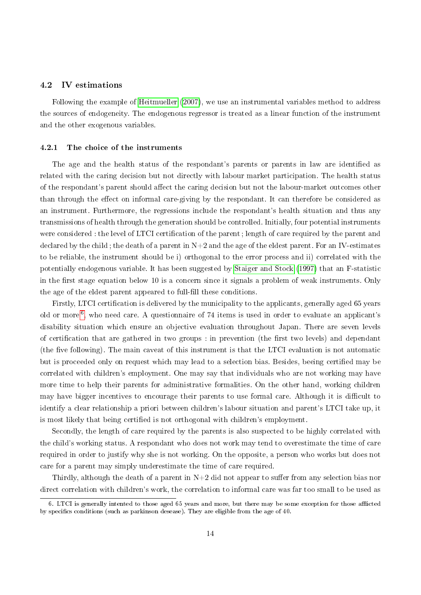#### 4.2 IV estimations

Following the example of [Heitmueller](#page-30-0) [\(2007\)](#page-30-0), we use an instrumental variables method to address the sources of endogeneity. The endogenous regressor is treated as a linear function of the instrument and the other exogenous variables.

#### 4.2.1 The choice of the instruments

The age and the health status of the respondant's parents or parents in law are identified as related with the caring decision but not directly with labour market participation. The health status of the respondant's parent should affect the caring decision but not the labour-market outcomes other than through the effect on informal care-giving by the respondant. It can therefore be considered as an instrument. Furthermore, the regressions include the respondant's health situation and thus any transmissions of health through the generation should be controlled. Initially, four potential instruments were considered : the level of LTCI certification of the parent ; length of care required by the parent and declared by the child ; the death of a parent in  $N+2$  and the age of the eldest parent. For an IV-estimates to be reliable, the instrument should be i) orthogonal to the error process and ii) correlated with the potentially endogenous variable. It has been suggested by [Staiger and Stock](#page-31-8) [\(1997\)](#page-31-8) that an F-statistic in the first stage equation below 10 is a concern since it signals a problem of weak instruments. Only the age of the eldest parent appeared to full-fill these conditions.

Firstly, LTCI certification is delivered by the municipality to the applicants, generally aged 65 years old or more  $^6$  $^6$ , who need care. A questionnaire of 74 items is used in order to evaluate an applicant's disability situation which ensure an objective evaluation throughout Japan. There are seven levels of certification that are gathered in two groups : in prevention (the first two levels) and dependant (the five following). The main caveat of this instrument is that the LTCI evaluation is not automatic but is proceeded only on request which may lead to a selection bias. Besides, beeing certied may be correlated with children's employment. One may say that individuals who are not working may have more time to help their parents for administrative formalities. On the other hand, working children may have bigger incentives to encourage their parents to use formal care. Although it is difficult to identify a clear relationship a priori between children's labour situation and parent's LTCI take up, it is most likely that being certified is not orthogonal with children's employment.

Secondly, the length of care required by the parents is also suspected to be highly correlated with the child's working status. A respondant who does not work may tend to overestimate the time of care required in order to justify why she is not working. On the opposite, a person who works but does not care for a parent may simply underestimate the time of care required.

Thirdly, although the death of a parent in  $N+2$  did not appear to suffer from any selection bias nor direct correlation with children's work, the correlation to informal care was far too small to be used as

<span id="page-13-0"></span><sup>6.</sup> LTCI is generally intented to those aged 65 years and more, but there may be some exception for those afflicted by specifics conditions (such as parkinson desease). They are eligible from the age of  $40$ .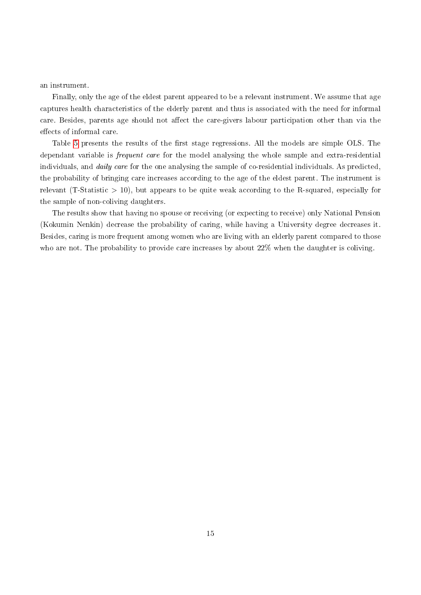an instrument.

Finally, only the age of the eldest parent appeared to be a relevant instrument. We assume that age captures health characteristics of the elderly parent and thus is associated with the need for informal care. Besides, parents age should not affect the care-givers labour participation other than via the effects of informal care.

Table [5](#page-15-0) presents the results of the first stage regressions. All the models are simple OLS. The dependant variable is frequent care for the model analysing the whole sample and extra-residential individuals, and *daily care* for the one analysing the sample of co-residential individuals. As predicted, the probability of bringing care increases according to the age of the eldest parent. The instrument is relevant (T-Statistic  $> 10$ ), but appears to be quite weak according to the R-squared, especially for the sample of non-coliving daughters.

The results show that having no spouse or receiving (or expecting to receive) only National Pension (Kokumin Nenkin) decrease the probability of caring, while having a University degree decreases it. Besides, caring is more frequent among women who are living with an elderly parent compared to those who are not. The probability to provide care increases by about 22% when the daughter is coliving.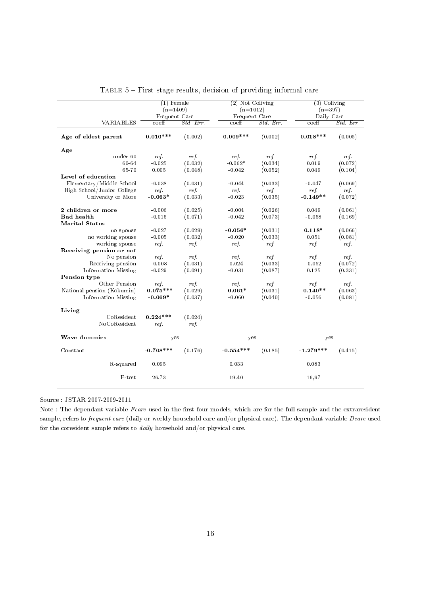|                            | $(1)$ Female                |                 | $(2)$ Not Coliving |           | $(3)$ Coliving              |           |
|----------------------------|-----------------------------|-----------------|--------------------|-----------|-----------------------------|-----------|
|                            | $(n=1409)$                  |                 | $(n=1012)$         |           | $(n=397)$                   |           |
|                            | Frequent Care               |                 | Frequent Care      |           | Daily Care                  |           |
| <b>VARIABLES</b>           | $\overline{\mathrm{coeff}}$ | $Std$ . Err.    | coeff              | Std. Err. | $\overline{\mathrm{coeff}}$ | Std. Err. |
| Age of eldest parent       | $0.010***$                  | (0.002)         | $0.009***$         | (0.002)   | $0.018***$                  | (0.005)   |
| Age                        |                             |                 |                    |           |                             |           |
| under 60                   | ref.                        | ref.            | ref.               | ref.      | ref.                        | ref.      |
| 60-64                      | $-0.025$                    | (0.032)         | $-0.062*$          | (0.034)   | 0.019                       | (0.072)   |
| 65-70                      | 0.005                       | (0.048)         | $-0.042$           | (0.052)   | 0.049                       | (0.104)   |
| Level of education         |                             |                 |                    |           |                             |           |
| Elementary/Middle School   | $-0.038$                    | (0.031)         | $-0.044$           | (0.033)   | $-0.047$                    | (0.069)   |
| High School/Junior College | ref.                        | ref.            | ref.               | ref.      | ref.                        | ref.      |
| University or More         | $-0.063*$                   | (0.033)         | $-0.023$           | (0.035)   | $-0.149**$                  | (0.072)   |
| 2 children or more         | $-0.006$                    | (0.025)         | $-0.004$           | (0.026)   | 0.049                       | (0.061)   |
| <b>Bad</b> health          | $-0.016$                    | (0.071)         | $-0.042$           | (0.073)   | $-0.058$                    | (0.169)   |
| <b>Marital Status</b>      |                             |                 |                    |           |                             |           |
| no spouse                  | $-0.027$                    | (0.029)         | $-0.056*$          | (0.031)   | $0.118*$                    | (0.066)   |
| no working spouse          | $-0.005$                    | (0.032)         | $-0.020$           | (0.033)   | 0.051                       | (0.081)   |
| working spouse             | ref.                        | ref.            | ref.               | ref.      | ref.                        | ref.      |
| Receiving pension or not   |                             |                 |                    |           |                             |           |
| No pension                 | ref.                        | ref.            | ref.               | ref.      | ref.                        | ref.      |
| Receiving pension          | $-0.008$                    | (0.031)         | 0.024              | (0.033)   | $-0.052$                    | (0.072)   |
| Information Missing        | $-0.029$                    | (0.091)         | $-0.031$           | (0.087)   | 0.125                       | (0.331)   |
| Pension type               |                             |                 |                    |           |                             |           |
| Other Pension              | ref.                        | ref.            | ref.               | ref.      | ref.                        | ref.      |
|                            | $-0.075***$                 | (0.029)         | $-0.061*$          | (0.031)   | $-0.140**$                  | (0.063)   |
| National pension (Kokumin) | $-0.069*$                   | (0.037)         | $-0.060$           | (0.040)   | $-0.056$                    | (0.081)   |
| Information Missing        |                             |                 |                    |           |                             |           |
| Living                     |                             |                 |                    |           |                             |           |
| CoResident<br>NoCoResident | $0.224***$<br>ref.          | (0.024)<br>ref. |                    |           |                             |           |
| Wave dummies               | yes                         |                 | yes                |           | yes                         |           |
| Constant                   | $-0.708***$                 | (0.176)         | $-0.554***$        | (0.185)   | $-1.279***$                 | (0.415)   |
| R-squared                  | 0.095                       |                 | 0.033              |           | 0.083                       |           |
| F-test                     | 26.73                       |                 | 19.40              |           | 16,97                       |           |

<span id="page-15-0"></span>Table 5 First stage results, decision of providing informal care

Source : JSTAR 2007-2009-2011

Note : The dependant variable  $Fcare$  used in the first four models, which are for the full sample and the extraresident sample, refers to frequent care (daily or weekly household care and/or physical care). The dependant variable Dcare used for the coresident sample refers to daily household and/or physical care.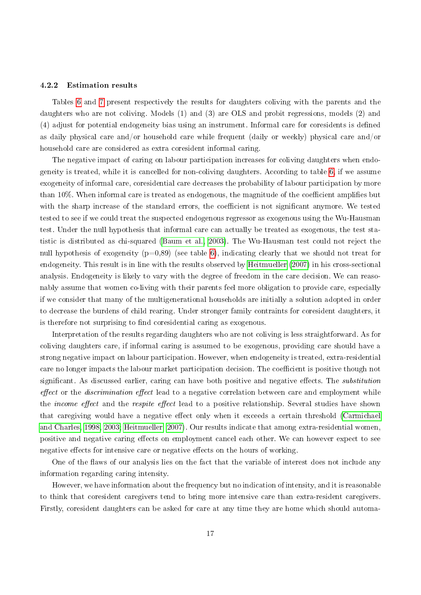#### 4.2.2 Estimation results

Tables [6](#page-18-0) and [7](#page-19-0) present respectively the results for daughters coliving with the parents and the daughters who are not coliving. Models (1) and (3) are OLS and probit regressions, models (2) and (4) adjust for potential endogeneity bias using an instrument. Informal care for coresidents is defined as daily physical care and/or household care while frequent (daily or weekly) physical care and/or household care are considered as extra coresident informal caring.

The negative impact of caring on labour participation increases for coliving daughters when endogeneity is treated, while it is cancelled for non-coliving daughters. According to table [6,](#page-18-0) if we assume exogeneity of informal care, coresidential care decreases the probability of labour participation by more than  $10\%$ . When informal care is treated as endogenous, the magnitude of the coefficient amplifies but with the sharp increase of the standard errors, the coefficient is not significant anymore. We tested tested to see if we could treat the suspected endogenous regressor as exogenous using the Wu-Hausman test. Under the null hypothesis that informal care can actually be treated as exogenous, the test statistic is distributed as chi-squared [\(Baum et al., 2003\)](#page-29-8). The Wu-Hausman test could not reject the null hypothesis of exogeneity  $(p=0.89)$  (see table [6\)](#page-18-0), indicating clearly that we should not treat for endogeneity. This result is in line with the results observed by [Heitmueller](#page-30-0) [\(2007\)](#page-30-0) in his cross-sectional analysis. Endogeneity is likely to vary with the degree of freedom in the care decision. We can reasonably assume that women co-living with their parents feel more obligation to provide care, especially if we consider that many of the multigenerational households are initially a solution adopted in order to decrease the burdens of child rearing. Under stronger family contraints for coresident daughters, it is therefore not surprising to find coresidential caring as exogenous.

Interpretation of the results regarding daughters who are not coliving is less straightforward. As for coliving daughters care, if informal caring is assumed to be exogenous, providing care should have a strong negative impact on labour participation. However, when endogeneity is treated, extra-residential care no longer impacts the labour market participation decision. The coefficient is positive though not significant. As discussed earlier, caring can have both positive and negative effects. The *substitution*  $effect$  or the *discrimination effect* lead to a negative correlation between care and employment while the *income effect* and the *respite effect* lead to a positive relationship. Several studies have shown that caregiving would have a negative effect only when it exceeds a certain threshold [\(Carmichael](#page-29-1) [and Charles, 1998,](#page-29-1) [2003;](#page-29-2) [Heitmueller, 2007\)](#page-30-0). Our results indicate that among extra-residential women, positive and negative caring effects on employment cancel each other. We can however expect to see negative effects for intensive care or negative effects on the hours of working.

One of the flaws of our analysis lies on the fact that the variable of interest does not include any information regarding caring intensity.

However, we have information about the frequency but no indication of intensity, and it is reasonable to think that coresident caregivers tend to bring more intensive care than extra-resident caregivers. Firstly, coresident daughters can be asked for care at any time they are home which should automa-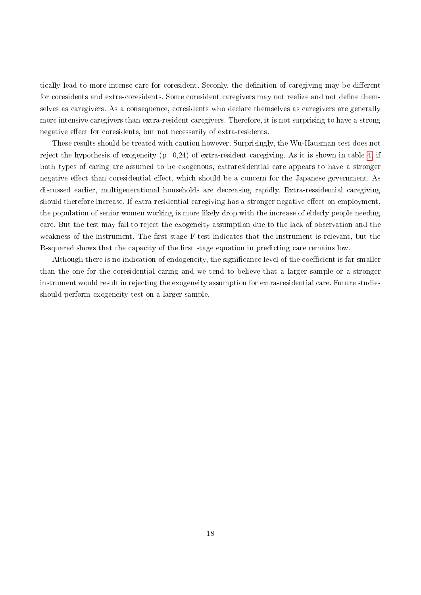tically lead to more intense care for coresident. Seconly, the definition of caregiving may be different for coresidents and extra-coresidents. Some coresident caregivers may not realize and not define themselves as caregivers. As a consequence, coresidents who declare themselves as caregivers are generally more intensive caregivers than extra-resident caregivers. Therefore, it is not surprising to have a strong negative effect for coresidents, but not necessarily of extra-residents.

These results should be treated with caution however. Surprisingly, the Wu-Hausman test does not reject the hypothesis of exogeneity  $(p=0.24)$  of extra-resident caregiving. As it is shown in table [4,](#page-12-0) if both types of caring are assumed to be exogenous, extraresidential care appears to have a stronger negative effect than coresidential effect, which should be a concern for the Japanese government. As discussed earlier, multigenerational households are decreasing rapidly. Extra-ressidential caregiving should therefore increase. If extra-residential caregiving has a stronger negative effect on employment. the population of senior women working is more likely drop with the increase of elderly people needing care. But the test may fail to reject the exogeneity assumption due to the lack of observation and the weakness of the instrument. The first stage F-test indicates that the instrument is relevant, but the R-squared shows that the capacity of the first stage equation in predicting care remains low.

Although there is no indication of endogeneity, the significance level of the coefficient is far smaller than the one for the coresidential caring and we tend to believe that a larger sample or a stronger instrument would result in rejecting the exogeneity assumption for extra-residential care. Future studies should perform exogeneity test on a larger sample.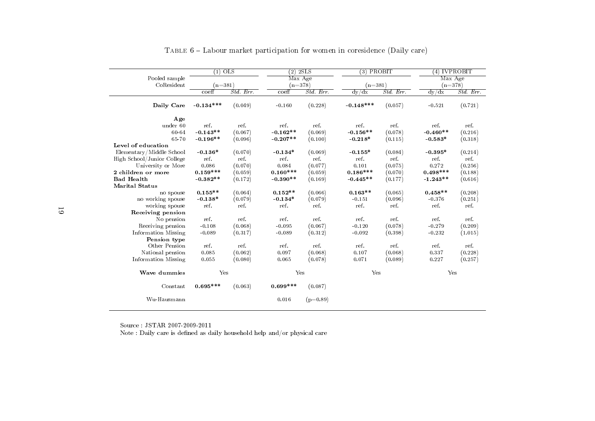|                            | $(1)$ OLS   |          | $(2)$ 2SLS |            | $(3)$ PROBIT |           | $(4)$ IVPROBIT |           |
|----------------------------|-------------|----------|------------|------------|--------------|-----------|----------------|-----------|
| Pooled sample              |             |          | Max Age    |            |              |           | Max Age        |           |
| CoResident                 | $(n=381)$   |          | $(n=378)$  |            | $(n=381)$    |           | $(n=378)$      |           |
|                            | coeff       | Std. Err | $co$ eff   | Std. Err.  | dy/dx        | Std. Err. | dy/dx          | Std. Err. |
| Daily Care                 | $-0.134***$ | (0.049)  | $-0.160$   | (0.228)    | $-0.148***$  | (0.057)   | $-0.521$       | (0.721)   |
| Age                        |             |          |            |            |              |           |                |           |
| under 60                   | ref.        | ref.     | ref.       | ref.       | ref.         | ref.      | ref.           | ref.      |
| 60-64                      | $-0.143**$  | (0.067)  | $-0.162**$ | (0.069)    | $-0.156**$   | (0.078)   | $-0.460**$     | (0.216)   |
| 65-70                      | $-0.196**$  | (0.096)  | $-0.207**$ | (0.100)    | $-0.218*$    | (0.115)   | $-0.583*$      | (0.318)   |
| Level of education         |             |          |            |            |              |           |                |           |
| Elementary/Middle School   | $-0.136*$   | (0.070)  | $-0.134*$  | (0.069)    | $-0.155*$    | (0.084)   | $-0.395*$      | (0.214)   |
| High School/Junior College | ref.        | ref.     | ref.       | ref.       | ref.         | ref.      | ref.           | ref.      |
| University or More         | 0.086       | (0.070)  | 0.084      | (0.077)    | 0.101        | (0.075)   | 0.272          | (0.256)   |
| 2 children or more         | $0.159***$  | (0.059)  | $0.160***$ | (0.059)    | $0.186***$   | (0.070)   | $0.498***$     | (0.188)   |
| <b>Bad Health</b>          | $-0.382**$  | (0.172)  | $-0.390**$ | (0.169)    | $-0.445**$   | (0.177)   | $-1.243**$     | (0.616)   |
| <b>Marital Status</b>      |             |          |            |            |              |           |                |           |
| no spouse                  | $0.155**$   | (0.064)  | $0.152**$  | (0.066)    | $0.163**$    | (0.065)   | $0.458**$      | (0.208)   |
| no working spouse          | $-0.138*$   | (0.079)  | $-0.134*$  | (0.079)    | $-0.151$     | (0.096)   | $-0.376$       | (0.251)   |
| working spouse             | ref.        | ref.     | ref.       | ref.       | ref.         | ref.      | ref.           | ref.      |
| Receiving pension          |             |          |            |            |              |           |                |           |
| No pension                 | ref.        | ref.     | ref.       | ref.       | ref.         | ref.      | ref.           | ref.      |
| Receiving pension          | $-0.108$    | (0.068)  | $-0.095$   | (0.067)    | $-0.120$     | (0.078)   | $-0.279$       | (0.209)   |
| Information Missing        | $-0.089$    | (0.317)  | $-0.089$   | (0.312)    | $-0.092$     | (0.398)   | $-0.232$       | (1.015)   |
| Pension type               |             |          |            |            |              |           |                |           |
| Other Pension              | ref.        | ref.     | ref.       | ref.       | ref.         | ref.      | ref.           | ref.      |
| National pension           | 0.085       | (0.062)  | 0.097      | (0.068)    | 0.107        | (0.068)   | 0.337          | (0.228)   |
| Information Missing        | 0.055       | (0.080)  | 0.065      | (0.078)    | 0.071        | (0.089)   | 0.227          | (0.257)   |
| Wave dummies               | Yes         |          | Yes        |            | Yes          |           | Yes            |           |
| Constant                   | $0.695***$  | (0.063)  | $0.699***$ | (0.087)    |              |           |                |           |
| Wu-Hausmann                |             |          | 0.016      | $(p=0.89)$ |              |           |                |           |

## <span id="page-18-0"></span>TABLE  $6$  – Labour market participation for women in coresidence (Daily care)

Source : JSTAR 2007-2009-2011

Note : Daily care is defined as daily household help and/or physical care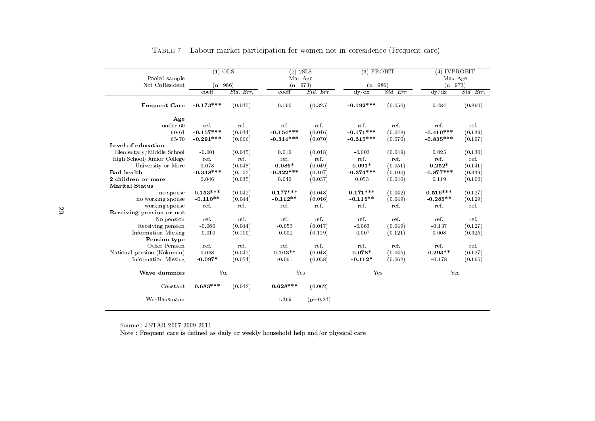|                            | $(1)$ OLS   |           | $(2)$ 2SLS  |            | $(3)$ PROBIT |          | $(4)$ IVPROBIT |           |
|----------------------------|-------------|-----------|-------------|------------|--------------|----------|----------------|-----------|
| Pooled sample              |             |           | Max Age     |            |              |          | Max Age        |           |
| Not CoResident             | $(n=986)$   |           | $(n=973)$   |            | $(n = 986)$  |          | $(n=973)$      |           |
|                            | coeff       | Std. Err. | $co$ eff    | Std. Err   | dy/dx        | Std. Err | dy/dx          | Std. Err. |
| <b>Frequent Care</b>       | $-0.173***$ | (0.045)   | 0.190       | (0.325)    | $-0.192***$  | (0.050)  | 0.484          | (0.860)   |
| Age                        |             |           |             |            |              |          |                |           |
| under 60                   | ref.        | ref.      | ref.        | ref.       | ref.         | ref.     | ref.           | ref.      |
| 60-64                      | $-0.157***$ | (0.044)   | $-0.154***$ | (0.046)    | $-0.171***$  | (0.048)  | $-0.410***$    | (0.139)   |
| 65-70                      | $-0.291***$ | (0.066)   | $-0.314***$ | (0.070)    | $-0.315***$  | (0.070)  | $-0.835***$    | (0.197)   |
| Level of education         |             |           |             |            |              |          |                |           |
| Elementary/Middle School   | $-0.001$    | (0.045)   | 0.012       | (0.048)    | $-0.003$     | (0.049)  | 0.025          | (0.130)   |
| High School/Junior College | ref.        | ref.      | ref.        | ref.       | ref.         | ref.     | ref.           | ref.      |
| University or More         | 0.078       | (0.048)   | $0.086*$    | (0.049)    | $0.091*$     | (0.051)  | $0.252*$       | (0.141)   |
| <b>Bad</b> health          | $-0.348***$ | (0.102)   | $-0.322***$ | (0.107)    | $-0.374***$  | (0.100)  | $-0.877***$    | (0.339)   |
| 2 children or more         | 0.046       | (0.035)   | 0.042       | (0.037)    | 0.053        | (0.040)  | 0.119          | (0.102)   |
| <b>Marital Status</b>      |             |           |             |            |              |          |                |           |
| no spouse                  | $0.153***$  | (0.042)   | $0.177***$  | (0.048)    | $0.171***$   | (0.042)  | $0.516***$     | (0.127)   |
| no working spouse          | $-0.110**$  | (0.044)   | $-0.112**$  | (0.046)    | $-0.115**$   | (0.049)  | $-0.285**$     | (0.129)   |
| working spouse             | ref.        | ref.      | ref.        | ref.       | ref.         | ref.     | ref.           | ref.      |
| Receiving pension or not   |             |           |             |            |              |          |                |           |
| No pension                 | ref.        | ref.      | ref.        | ref.       | ref.         | ref.     | ref.           | ref.      |
| Receiving pension          | $-0.060$    | (0.044)   | $-0.053$    | (0.047)    | $-0.063$     | (0.049)  | $-0.137$       | (0.127)   |
| Information Missing        | $-0.010$    | (0.110)   | $-0.002$    | (0.119)    | $-0.007$     | (0.121)  | 0.008          | (0.325)   |
| Pension type               |             |           |             |            |              |          |                |           |
| Other Pension              | ref.        | ref.      | ref.        | ref.       | ref.         | ref.     | ref.           | ref.      |
| National pension (Kokumin) | 0.068       | (0.042)   | $0.103**$   | (0.048)    | $0.078*$     | (0.045)  | $0.293**$      | (0.127)   |
| Information Missing        | $-0.097*$   | (0.054)   | $-0.061$    | (0.058)    | $-0.112*$    | (0.062)  | $-0.178$       | (0.165)   |
| Wave dummies               | Yes         |           | Yes         |            | Yes          |          | Yes            |           |
| Constant                   | $0.683***$  | (0.042)   | $0.628***$  | (0.062)    |              |          |                |           |
| Wu-Hausmann                |             |           | 1.369       | $(p=0.24)$ |              |          |                |           |

## <span id="page-19-0"></span>Table <sup>7</sup> Labour market participation for women not in coresidence (Frequent care)

Source : JSTAR 2007-2009-2011

Note : Frequent care is defined as daily or weekly household help and/or physical care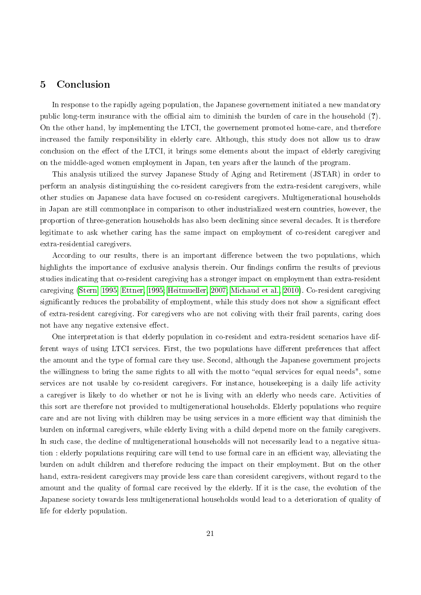## 5 Conclusion

In response to the rapidly ageing population, the Japanese governement initiated a new mandatory public long-term insurance with the official aim to diminish the burden of care in the household  $(?)$ . On the other hand, by implementing the LTCI, the governement promoted home-care, and therefore increased the family responsibility in elderly care. Although, this study does not allow us to draw conclusion on the effect of the LTCI, it brings some elements about the impact of elderly caregiving on the middle-aged women employment in Japan, ten years after the launch of the program.

This analysis utilized the survey Japanese Study of Aging and Retirement (JSTAR) in order to perform an analysis distinguishing the co-resident caregivers from the extra-resident caregivers, while other studies on Japanese data have focused on co-resident caregivers. Multigenerational households in Japan are still commonplace in comparison to other industrialized western countries, however, the proportion of three-generation households has also been declining since several decades. It is therefore legitimate to ask whether caring has the same impact on employment of co-resident caregiver and extra-residential caregivers.

According to our results, there is an important difference between the two populations, which highlights the importance of exclusive analysis therein. Our findings confirm the results of previous studies indicating that co-resident caregiving has a stronger impact on employment than extra-resident caregiving [\(Stern, 1995;](#page-31-7) [Ettner, 1995;](#page-30-4) [Heitmueller, 2007;](#page-30-0) [Michaud et al., 2010\)](#page-30-7). Co-resident caregiving significantly reduces the probability of employment, while this study does not show a significant effect of extra-resident caregiving. For caregivers who are not coliving with their frail parents, caring does not have any negative extensive effect.

One interpretation is that elderly population in co-resident and extra-resident scenarios have different ways of using LTCI services. First, the two populations have different preferences that affect the amount and the type of formal care they use. Second, although the Japanese government projects the willingness to bring the same rights to all with the motto "equal services for equal needs", some services are not usable by co-resident caregivers. For instance, housekeeping is a daily life activity a caregiver is likely to do whether or not he is living with an elderly who needs care. Activities of this sort are therefore not provided to multigenerational households. Elderly populations who require care and are not living with children may be using services in a more efficient way that diminish the burden on informal caregivers, while elderly living with a child depend more on the family caregivers. In such case, the decline of multigenerational households will not necessarily lead to a negative situation : elderly populations requiring care will tend to use formal care in an efficient way, alleviating the burden on adult children and therefore reducing the impact on their employment. But on the other hand, extra-resident caregivers may provide less care than coresident caregivers, without regard to the amount and the quality of formal care received by the elderly. If it is the case, the evolution of the Japanese society towards less multigenerational households would lead to a deterioration of quality of life for elderly population.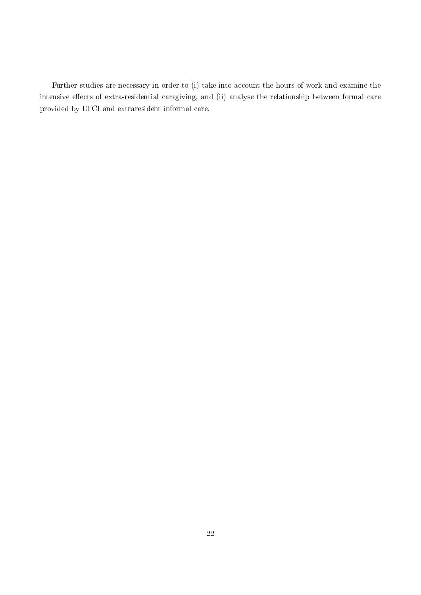Further studies are necessary in order to (i) take into account the hours of work and examine the intensive effects of extra-residential caregiving, and (ii) analyse the relationship between formal care provided by LTCI and extraresident informal care.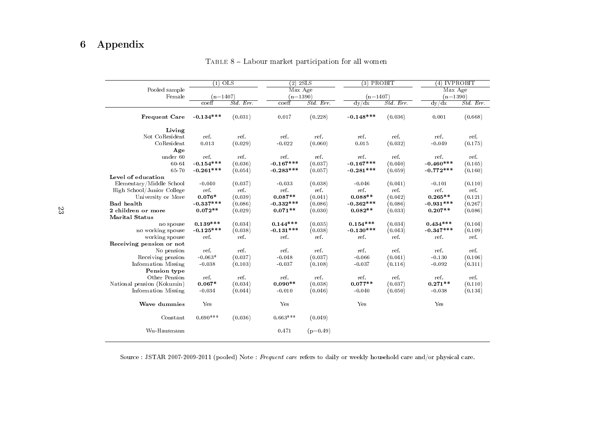## 6 Appendix

|                            | $(1)$ OLS   |           | $(2)$ 2SLS  |            | $(3)$ PROBIT |           | $(4)$ IVPROBIT |           |
|----------------------------|-------------|-----------|-------------|------------|--------------|-----------|----------------|-----------|
| Pooled sample              |             |           | Max Age     |            |              |           | Max Age        |           |
| Female                     | $(n=1407)$  |           | $(n=1390)$  |            | $(n=1407)$   |           | $(n=1390)$     |           |
|                            | coeff       | Std. Err. | coeff       | Std. Err.  | dy/dx        | Std. Err. | dy/dx          | Std. Err. |
| <b>Frequent Care</b>       | $-0.134***$ | (0.031)   | 0.017       | (0.228)    | $-0.148***$  | (0.036)   | 0.001          | (0.668)   |
| Living                     |             |           |             |            |              |           |                |           |
| Not CoResident             | ref.        | ref.      | ref.        | ref.       | ref.         | ref.      | ref.           | ref.      |
| CoResident                 | 0.013       | (0.029)   | $-0.022$    | (0.060)    | 0.015        | (0.032)   | $-0.049$       | (0.175)   |
| Age                        |             |           |             |            |              |           |                |           |
| under 60                   | ref.        | ref       | ref.        | ref.       | ref.         | ref.      | ref.           | ref       |
| 60-64                      | $-0.154***$ | (0.036)   | $-0.167***$ | (0.037)    | $-0.167***$  | (0.040)   | $-0.460***$    | (0.105)   |
| 65-70                      | $-0.261***$ | (0.054)   | $-0.283***$ | (0.057)    | $-0.281***$  | (0.059)   | $-0.772***$    | (0.160)   |
| Level of education         |             |           |             |            |              |           |                |           |
| Elementary/Middle School   | $-0.040$    | (0.037)   | $-0.033$    | (0.038)    | $-0.046$     | (0.041)   | $-0.101$       | (0.110)   |
| High School/Junior College | ref.        | ref.      | ref.        | ref.       | ref.         | ref.      | ref.           | ref.      |
| University or More         | $0.076*$    | (0.039)   | $0.087**$   | (0.041)    | $0.088**$    | (0.042)   | $0.265**$      | (0.121)   |
| <b>Bad</b> health          | $-0.337***$ | (0.086)   | $-0.332***$ | (0.086)    | $-0.362***$  | (0.086)   | $-0.931***$    | (0.267)   |
| 2 children or more         | $0.072**$   | (0.029)   | $0.071**$   | (0.030)    | $0.082**$    | (0.033)   | $0.207**$      | (0.086)   |
| <b>Marital Status</b>      |             |           |             |            |              |           |                |           |
| no spouse                  | $0.139***$  | (0.034)   | $0.144***$  | (0.035)    | $0.154***$   | (0.034)   | $0.434***$     | (0.104)   |
| no working spouse          | $-0.125***$ | (0.038)   | $-0.131***$ | (0.038)    | $-0.130***$  | (0.043)   | $-0.347***$    | (0.109)   |
| working spouse             | ref.        | ref.      | ref.        | ref.       | ref.         | ref.      | ref.           | ref.      |
| Receiving pension or not   |             |           |             |            |              |           |                |           |
| No pension                 | ref.        | ref.      | ref.        | ref.       | ref.         | ref.      | ref.           | ref.      |
| Receiving pension          | $-0.063*$   | (0.037)   | $-0.048$    | (0.037)    | $-0.066$     | (0.041)   | $-0.130$       | (0.106)   |
| Information Missing        | $-0.038$    | (0.103)   | $-0.037$    | (0.108)    | $-0.037$     | (0.116)   | $-0.092$       | (0.311)   |
| Pension type               |             |           |             |            |              |           |                |           |
| Other Pension              | ref.        | ref.      | ref.        | ref.       | ref.         | ref.      | ref.           | ref.      |
| National pension (Kokumin) | $0.067*$    | (0.034)   | $0.090**$   | (0.038)    | $0.077**$    | (0.037)   | $0.271**$      | (0.110)   |
| Information Missing        | $-0.034$    | (0.044)   | $-0.010$    | (0.046)    | $-0.040$     | (0.050)   | $-0.038$       | (0.134)   |
| Wave dummies               | Yes         |           | Yes         |            | Yes          |           | Yes            |           |
| Constant                   | $0.690***$  | (0.036)   | $0.663***$  | (0.049)    |              |           |                |           |
| Wu-Hausmann                |             |           | 0.471       | $(p=0.49)$ |              |           |                |           |

TABLE 8 – Labour market participation for all women

Source : JSTAR 2007-2009-2011 (pooled) Note : *Frequent care* refers to daily or weekly household care and/or physical care.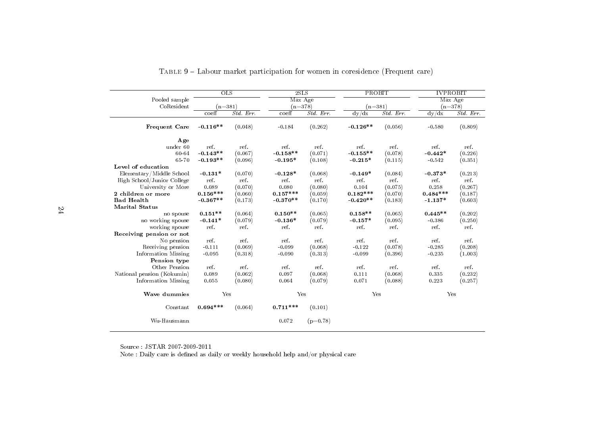|                            | OLS        |           | 2SLS       |            | PROBIT     |           | <b>IVPROBIT</b> |           |
|----------------------------|------------|-----------|------------|------------|------------|-----------|-----------------|-----------|
| Pooled sample              |            |           | Max Age    |            |            |           | Max Age         |           |
| CoResident                 | $(n=381)$  |           | $(n=378)$  |            | $(n=381)$  |           | $(n=378)$       |           |
|                            | coeff      | Std. Err. | coeff      | Std. Err.  | dy/dx      | Std. Err. | dy/dx           | Std. Err. |
| Frequent Care              | $-0.116**$ | (0.048)   | $-0.184$   | (0.262)    | $-0.126**$ | (0.056)   | $-0.580$        | (0.809)   |
| Age                        |            |           |            |            |            |           |                 |           |
| under 60                   | ref.       | ref.      | ref.       | ref.       | ref.       | ref.      | ref.            | ref.      |
| 60-64                      | $-0.143**$ | (0.067)   | $-0.158**$ | (0.071)    | $-0.155**$ | (0.078)   | $-0.442*$       | (0.226)   |
| 65-70                      | $-0.193**$ | (0.096)   | $-0.195*$  | (0.108)    | $-0.215*$  | (0.115)   | $-0.542$        | (0.351)   |
| Level of education         |            |           |            |            |            |           |                 |           |
| Elementary/Middle School   | $-0.131*$  | (0.070)   | $-0.128*$  | (0.068)    | $-0.149*$  | (0.084)   | $-0.373*$       | (0.213)   |
| High School/Junior College | ref.       | ref.      | ref.       | ref.       | ref.       | ref.      | ref.            | ref.      |
| University or More         | 0.089      | (0.070)   | 0.080      | (0.080)    | 0.104      | (0.075)   | 0.258           | (0.267)   |
| 2 children or more         | $0.156***$ | (0.060)   | $0.157***$ | (0.059)    | $0.182***$ | (0.070)   | $0.484***$      | (0.187)   |
| <b>Bad Health</b>          | $-0.367**$ | (0.173)   | $-0.370**$ | (0.170)    | $-0.420**$ | (0.183)   | $-1.137*$       | (0.603)   |
| <b>Marital Status</b>      |            |           |            |            |            |           |                 |           |
| no spouse                  | $0.151**$  | (0.064)   | $0.150**$  | (0.065)    | $0.158**$  | (0.065)   | $0.445**$       | (0.202)   |
| no working spouse          | $-0.141*$  | (0.079)   | $-0.136*$  | (0.079)    | $-0.157*$  | (0.095)   | $-0.386$        | (0.250)   |
| working spouse             | ref.       | ref.      | ref.       | ref.       | ref.       | ref.      | ref.            | ref.      |
| Receiving pension or not   |            |           |            |            |            |           |                 |           |
| No pension                 | ref.       | ref.      | ref.       | ref.       | ref.       | ref.      | ref.            | ref.      |
| Receiving pension          | $-0.111$   | (0.069)   | $-0.099$   | (0.068)    | $-0.122$   | (0.078)   | $-0.285$        | (0.208)   |
| Information Missing        | $-0.095$   | (0.318)   | $-0.090$   | (0.313)    | $-0.099$   | (0.396)   | $-0.235$        | (1.003)   |
| Pension type               |            |           |            |            |            |           |                 |           |
| Other Pension              | ref.       | ref.      | ref.       | ref.       | ref.       | ref.      | ref.            | ref.      |
| National pension (Kokumin) | 0.089      | (0.062)   | 0.097      | (0.068)    | 0.111      | (0.068)   | 0.335           | (0.232)   |
| Information Missing        | 0.055      | (0.080)   | 0.064      | (0.079)    | 0.071      | (0.088)   | 0.223           | (0.257)   |
| Wave dummies               | Yes        |           | Yes        |            | Yes        |           | Yes             |           |
| Constant                   | $0.694***$ | (0.064)   | $0.711***$ | (0.101)    |            |           |                 |           |
| Wu-Hausmann                |            |           | 0.072      | $(p=0.78)$ |            |           |                 |           |

| TABLE 9 – Labour market participation for women in coresidence (Frequent care) |  |  |
|--------------------------------------------------------------------------------|--|--|
|                                                                                |  |  |

Source : JSTAR 2007-2009-2011

Note : Daily care is defined as daily or weekly household help and/or physical care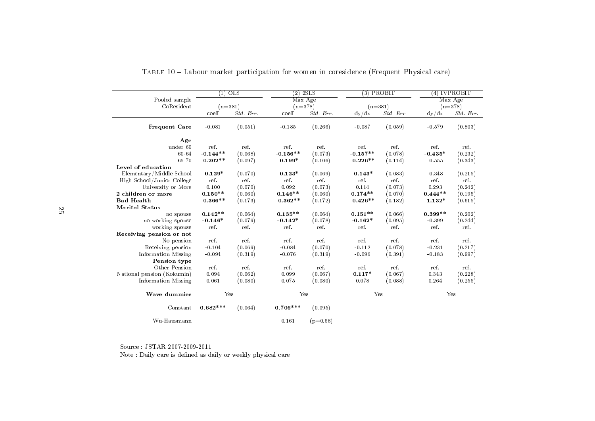|                            | $\overline{(1)}$ | $_{\text{OLS}}$ | $(2)$ 2SLS |            | $(3)$ PROBIT |           |           | $(4)$ IVPROBIT |
|----------------------------|------------------|-----------------|------------|------------|--------------|-----------|-----------|----------------|
| Pooled sample              |                  |                 | Max Age    |            |              |           |           | Max Age        |
| CoResident                 | $(n=381)$        |                 | $(n=378)$  |            | $(n=381)$    |           |           | $(n=378)$      |
|                            | $co$ eff         | Std. Err.       | coeff      | Std. Err.  | dy/dx        | Std. Err. | dy/dx     | Std. Err.      |
| Frequent Care              | $-0.081$         | (0.051)         | $-0.185$   | (0.266)    | $-0.087$     | (0.059)   | $-0.579$  | (0.803)        |
| Age                        |                  |                 |            |            |              |           |           |                |
| under 60                   | ref.             | ref.            | ref.       | ref.       | ref.         | ref.      | ref.      | ref.           |
| 60-64                      | $-0.144**$       | (0.068)         | $-0.156**$ | (0.073)    | $-0.157**$   | (0.078)   | $-0.435*$ | (0.232)        |
| 65-70                      | $-0.202**$       | (0.097)         | $-0.199*$  | (0.106)    | $-0.226**$   | (0.114)   | $-0.555$  | (0.343)        |
| Level of education         |                  |                 |            |            |              |           |           |                |
| Elementary/Middle School   | $-0.129*$        | (0.070)         | $-0.123*$  | (0.069)    | $-0.143*$    | (0.083)   | $-0.348$  | (0.215)        |
| High School/Junior College | ref.             | ref.            | ref.       | ref.       | ref          | ref.      | ref.      | ref.           |
| University or More         | 0.100            | (0.070)         | 0.092      | (0.073)    | 0.114        | (0.073)   | 0.293     | (0.242)        |
| 2 children or more         | $0.150**$        | (0.060)         | $0.146**$  | (0.060)    | $0.174**$    | (0.070)   | $0.444**$ | (0.195)        |
| <b>Bad Health</b>          | $-0.366**$       | (0.173)         | $-0.362**$ | (0.172)    | $-0.426**$   | (0.182)   | $-1.132*$ | (0.615)        |
| <b>Marital Status</b>      |                  |                 |            |            |              |           |           |                |
| no spouse                  | $0.142**$        | (0.064)         | $0.135**$  | (0.064)    | $0.151**$    | (0.066)   | $0.399**$ | (0.202)        |
| no working spouse          | $-0.146*$        | (0.079)         | $-0.142*$  | (0.078)    | $-0.162*$    | (0.095)   | $-0.399$  | (0.244)        |
| working spouse             | ref.             | ref.            | ref.       | ref.       | ref.         | ref.      | ref.      | ref.           |
| Receiving pension or not   |                  |                 |            |            |              |           |           |                |
| No pension                 | ref.             | ref.            | ref.       | ref.       | ref.         | ref.      | ref.      | ref.           |
| Receiving pension          | $-0.104$         | (0.069)         | $-0.084$   | (0.070)    | $-0.112$     | (0.078)   | $-0.231$  | (0.217)        |
| Information Missing        | $-0.094$         | (0.319)         | $-0.076$   | (0.319)    | $-0.096$     | (0.391)   | $-0.183$  | (0.997)        |
| Pension type               |                  |                 |            |            |              |           |           |                |
| Other Pension              | ref.             | ref.            | ref.       | ref.       | ref.         | ref.      | ref.      | ref.           |
| National pension (Kokumin) | 0.094            | (0.062)         | 0.099      | (0.067)    | $0.117*$     | (0.067)   | 0.343     | (0.228)        |
| Information Missing        | 0.061            | (0.080)         | 0.075      | (0.080)    | 0.078        | (0.088)   | 0.264     | (0.255)        |
| Wave dummies               | Yes              |                 | Yes        |            | Yes          |           |           | Yes            |
| Constant                   | $0.682***$       | (0.064)         | $0.706***$ | (0.095)    |              |           |           |                |
| Wu-Hausmann                |                  |                 | 0.161      | $(p=0.68)$ |              |           |           |                |

Table <sup>10</sup> Labour market participation for women in coresidence (Frequent Physical care)

Source : JSTAR 2007-2009-2011

Note : Daily care is defined as daily or weekly physical care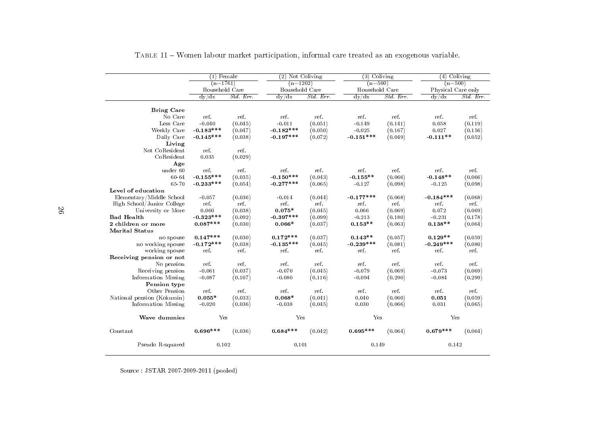|                            | $(1)$ Female   |           | $(2)$ Not Coliving |            | $(3)$ Coliving |            | $(4)$ Coliving     |           |
|----------------------------|----------------|-----------|--------------------|------------|----------------|------------|--------------------|-----------|
|                            | $(n=1761)$     |           | $(n=1202)$         |            | $(n=500)$      |            | $(n=500)$          |           |
|                            | Household Care |           | Household Care     |            | Household Care |            | Physical Care only |           |
|                            | dy/dx          | Std. Err. | dy/dx              | $Std$ Err. | dv/dx          | $Std$ Err. | $\frac{dy}{dx}$    | Std. Err. |
| <b>Bring Care</b>          |                |           |                    |            |                |            |                    |           |
| No Care                    | ref.           | ref.      | ref.               | ref        | ref.           | ref.       | ref.               | ref.      |
| Less Care                  | $-0.040$       | (0.045)   | $-0.011$           | (0.051)    | $-0.149$       | (0.141)    | 0.058              | (0.119)   |
| Weekly Care                | $-0.183***$    | (0.047)   | $-0.182***$        | (0.050)    | $-0.025$       | (0.167)    | 0.027              | (0.156)   |
| Daily Care                 | $-0.145***$    | (0.038)   | $-0.197***$        | (0.072)    | $-0.151***$    | (0.049)    | $-0.111**$         | (0.052)   |
| Living                     |                |           |                    |            |                |            |                    |           |
| $\hbox{Not CoResident}$    | ref.           | ref.      |                    |            |                |            |                    |           |
| CoResident                 | 0.035          | (0.029)   |                    |            |                |            |                    |           |
| Age                        |                |           |                    |            |                |            |                    |           |
| under 60                   | ref.           | ref.      | ref.               | ref.       | ref.           | ref.       | ref.               | ref.      |
| 60-64                      | $-0.155***$    | (0.035)   | $-0.150***$        | (0.043)    | $-0.155**$     | (0.066)    | $-0.148**$         | (0.066)   |
| 65-70                      | $-0.233***$    | (0.054)   | $-0.277***$        | (0.065)    | $-0.127$       | (0.098)    | $-0.125$           | (0.098)   |
| Level of education         |                |           |                    |            |                |            |                    |           |
| Elementary/Middle School   | $-0.057$       | (0.036)   | $-0.014$           | (0.044)    | $-0.177***$    | (0.068)    | $-0.184***$        | (0.068)   |
| High School/Junior College | ref.           | ref.      | ref.               | ref.       | ref.           | ref.       | ref.               | ref.      |
| University or More         | 0.060          | (0.038)   | $0.075*$           | (0.045)    | 0.066          | (0.069)    | 0.072              | (0.069)   |
| <b>Bad Health</b>          | $-0.323***$    | (0.092)   | $-0.397***$        | (0.099)    | $-0.213$       | (0.180)    | $-0.231$           | (0.178)   |
| 2 children or more         | $0.087***$     | (0.030)   | $0.066*$           | (0.037)    | $0.153**$      | (0.063)    | $0.138**$          | (0.064)   |
| <b>Marital Status</b>      |                |           |                    |            |                |            |                    |           |
| no spouse                  | $0.147***$     | (0.030)   | $0.172***$         | (0.037)    | $0.143**$      | (0.057)    | $0.129**$          | (0.059)   |
| no working spouse          | $-0.172***$    | (0.038)   | $-0.135***$        | (0.045)    | $-0.239***$    | (0.081)    | $-0.249***$        | (0.080)   |
| working spouse             | ref.           | ref.      | ref.               | ref.       | ref.           | ref.       | ref.               | ref.      |
| Receiving pension or not   |                |           |                    |            |                |            |                    |           |
| No pension                 | ref.           | ref.      | ref.               | ref.       | ref.           | ref.       | ref.               | ref.      |
| Receiving pension          | $-0.061$       | (0.037)   | $-0.070$           | (0.045)    | $-0.079$       | (0.069)    | $-0.073$           | (0.069)   |
| Information Missing        | $-0.087$       | (0.107)   | $-0.080$           | (0.116)    | $-0.094$       | (0.290)    | $-0.084$           | (0.299)   |
| Pension type               |                |           |                    |            |                |            |                    |           |
| Other Pension              | ref.           | ref.      | ref.               | ref.       | ref.           | ref.       | ref.               | ref       |
| National pension (Kokumin) | $0.055*$       | (0.033)   | $0.068*$           | (0.041)    | 0.040          | (0.060)    | 0.051              | (0.059)   |
| Information Missing        | $-0.020$       | (0.036)   | $-0.038$           | (0.045)    | 0.030          | (0.066)    | 0.031              | (0.065)   |
| Wave dummies               | Yes            |           | Yes                |            | Yes            |            | Yes                |           |
| Constant                   | $0.696***$     | (0.036)   | $0.684***$         | (0.042)    | $0.695***$     | (0.064)    | $0.679***$         | (0.064)   |
| Pseudo R-squared           | 0.102          |           | 0.101              |            | 0.149          |            | 0.142              |           |

<span id="page-25-0"></span>Table <sup>11</sup> Women labour market participation, informal care treated as an exogenous variable.

Source : JSTAR 2007-2009-2011 (pooled)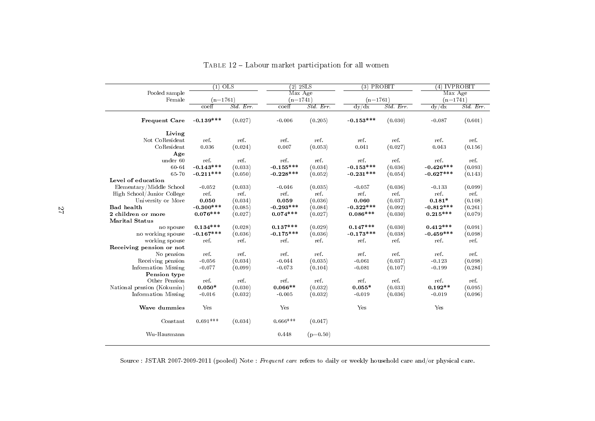|                            | $(1)$ OLS<br>$(n=1761)$     |           | $(2)$ 2SLS  |            | $(3)$ PROBIT |           | $(4)$ IVPROBIT |          |  |
|----------------------------|-----------------------------|-----------|-------------|------------|--------------|-----------|----------------|----------|--|
| Pooled sample              |                             |           |             | Max Age    |              |           |                | Max Age  |  |
| Female                     |                             |           | $(n=1741)$  |            | $(n=1761)$   |           | $(n=1741)$     |          |  |
|                            | $\overline{\mathrm{coeff}}$ | Std. Err. | coeff       | Std. Err.  | dy/dx        | Std. Err. | dy/dx          | Std. Err |  |
| Frequent Care              | $-0.139***$                 | (0.027)   | $-0.006$    | (0.205)    | $-0.153***$  | (0.030)   | $-0.087$       | (0.601)  |  |
| Living                     |                             |           |             |            |              |           |                |          |  |
| Not CoResident             | ref.                        | ref.      | ref.        | ref.       | ref.         | ref.      | ref            | ref.     |  |
| CoResident                 | 0.036                       | (0.024)   | 0.007       | (0.053)    | 0.041        | (0.027)   | 0.043          | (0.156)  |  |
| Age                        |                             |           |             |            |              |           |                |          |  |
| under 60                   | ref.                        | ref.      | ref.        | ref.       | ref.         | ref.      | ref.           | ref.     |  |
| 60-64                      | $-0.143***$                 | (0.033)   | $-0.155***$ | (0.034)    | $-0.153***$  | (0.036)   | $-0.426***$    | (0.093)  |  |
| 65-70                      | $-0.211***$                 | (0.050)   | $-0.228***$ | (0.052)    | $-0.231***$  | (0.054)   | $-0.627***$    | (0.143)  |  |
| Level of education         |                             |           |             |            |              |           |                |          |  |
| Elementary/Middle School   | $-0.052$                    | (0.033)   | $-0.046$    | (0.035)    | $-0.057$     | (0.036)   | $-0.133$       | (0.099)  |  |
| High School/Junior College | ref.                        | ref.      | ref.        | ref.       | ref.         | ref.      | ref.           | ref.     |  |
| University or More         | 0.050                       | (0.034)   | 0.059       | (0.036)    | 0.060        | (0.037)   | $0.181*$       | (0.108)  |  |
| <b>Bad</b> health          | $-0.300***$                 | (0.085)   | $-0.293***$ | (0.084)    | $-0.322***$  | (0.092)   | $-0.812***$    | (0.261)  |  |
| 2 children or more         | $0.076***$                  | (0.027)   | $0.074***$  | (0.027)    | $0.086***$   | (0.030)   | $0.215***$     | (0.079)  |  |
| <b>Marital Status</b>      |                             |           |             |            |              |           |                |          |  |
| no spouse                  | $0.134***$                  | (0.028)   | $0.137***$  | (0.029)    | $0.147***$   | (0.030)   | $0.412***$     | (0.091)  |  |
| no working spouse          | $-0.167***$                 | (0.036)   | $-0.175***$ | (0.036)    | $-0.173***$  | (0.038)   | $-0.459***$    | (0.098)  |  |
| working spouse             | ref.                        | ref.      | ref.        | ref.       | ref.         | ref.      | ref.           | ref.     |  |
| Receiving pension or not   |                             |           |             |            |              |           |                |          |  |
| No pension                 | ref.                        | ref.      | ref.        | ref.       | ref.         | ref.      | ref.           | ref.     |  |
| Receiving pension          | $-0.056$                    | (0.034)   | $-0.044$    | (0.035)    | $-0.061$     | (0.037)   | $-0.123$       | (0.098)  |  |
| Information Missing        | $-0.077$                    | (0.099)   | $-0.073$    | (0.104)    | $-0.081$     | (0.107)   | $-0.199$       | (0.284)  |  |
| Pension type               |                             |           |             |            |              |           |                |          |  |
| Other Pension              | ref.                        | ref.      | ref.        | ref.       | ref.         | ref.      | ref.           | ref.     |  |
| National pension (Kokumin) | $0.050*$                    | (0.030)   | $0.066**$   | (0.032)    | $0.055*$     | (0.033)   | $0.192**$      | (0.095)  |  |
| Information Missing        | $-0.016$                    | (0.032)   | $-0.005$    | (0.032)    | $-0.019$     | (0.036)   | $-0.019$       | (0.096)  |  |
| Wave dummies               | Yes                         |           | Yes         |            | Yes          |           | Yes            |          |  |
| Constant                   | $0.691***$                  | (0.034)   | $0.666***$  | (0.047)    |              |           |                |          |  |
| Wu-Hausmann                |                             |           | 0.448       | $(p=0.50)$ |              |           |                |          |  |

TABLE  $12$  – Labour market participation for all women

Source : JSTAR 2007-2009-2011 (pooled) Note : *Frequent care* refers to daily or weekly household care and/or physical care.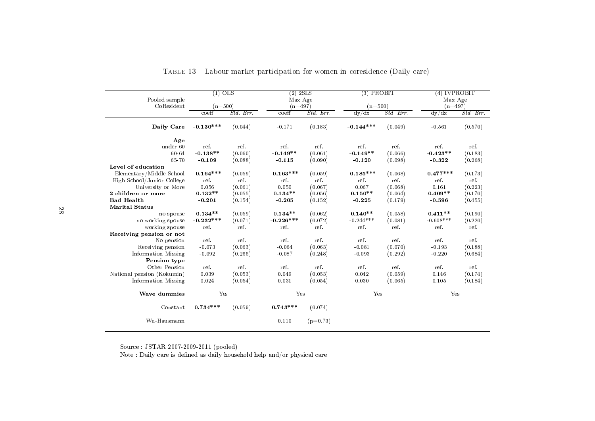|                            | $(1)$ OLS                         |           | $(2)$ 2SLS  |            | $(3)$ PROBIT |           | $(4)$ IVPROBIT |           |
|----------------------------|-----------------------------------|-----------|-------------|------------|--------------|-----------|----------------|-----------|
| Pooled sample              | Max Age<br>$(n=500)$<br>$(n=497)$ |           |             |            | Max Age      |           |                |           |
| CoResident                 |                                   |           |             |            |              | $(n=500)$ |                | $(n=497)$ |
|                            | coeff                             | Std. Err. | coeff       | Std. Err.  | dy/dx        | Std. Err  | dy/dx          | Std. Err. |
| Daily Care                 | $-0.130***$                       | (0.044)   | $-0.171$    | (0.183)    | $-0.144***$  | (0.049)   | $-0.561$       | (0.570)   |
| Age                        |                                   |           |             |            |              |           |                |           |
| under 60                   | ref.                              | ref.      | ref.        | ref.       | ref.         | ref.      | ref.           | ref.      |
| 60-64                      | $-0.138**$                        | (0.060)   | $-0.149**$  | (0.061)    | $-0.149**$   | (0.066)   | $-0.423**$     | (0.183)   |
| 65-70                      | $-0.109$                          | (0.088)   | $-0.115$    | (0.090)    | $-0.120$     | (0.098)   | $-0.322$       | (0.268)   |
| Level of education         |                                   |           |             |            |              |           |                |           |
| Elementary/Middle School   | $-0.164***$                       | (0.059)   | $-0.163***$ | (0.059)    | $-0.185***$  | (0.068)   | $-0.477***$    | (0.173)   |
| High School/Junior College | ref.                              | ref.      | ref.        | ref.       | ref.         | ref.      | ref.           | ref.      |
| University or More         | 0.056                             | (0.061)   | 0.050       | (0.067)    | 0.067        | (0.068)   | 0.161          | (0.223)   |
| 2 children or more         | $0.132**$                         | (0.055)   | $0.134**$   | (0.056)    | $0.150**$    | (0.064)   | $0.409**$      | (0.170)   |
| <b>Bad Health</b>          | $-0.201$                          | (0.154)   | $-0.205$    | (0.152)    | $-0.225$     | (0.179)   | $-0.596$       | (0.455)   |
| <b>Marital Status</b>      |                                   |           |             |            |              |           |                |           |
| no spouse                  | $0.134**$                         | (0.059)   | $0.134**$   | (0.062)    | $0.140**$    | (0.058)   | $0.411**$      | (0.190)   |
| no working spouse          | $-0.232***$                       | (0.071)   | $-0.226***$ | (0.072)    | $-0.244***$  | (0.081)   | $-0.608***$    | (0.220)   |
| working spouse             | ref.                              | ref.      | ref.        | ref.       | ref.         | ref.      | ref.           | ref.      |
| Receiving pension or not   |                                   |           |             |            |              |           |                |           |
| No pension                 | ref.                              | ref.      | ref.        | ref.       | ref.         | ref.      | ref.           | ref.      |
| Receiving pension          | $-0.073$                          | (0.063)   | $-0.064$    | (0.063)    | $-0.081$     | (0.070)   | $-0.193$       | (0.188)   |
| Information Missing        | $-0.092$                          | (0.265)   | $-0.087$    | (0.248)    | $-0.093$     | (0.292)   | $-0.220$       | (0.684)   |
| Pension type               |                                   |           |             |            |              |           |                |           |
| Other Pension              | ref.                              | ref.      | ref.        | ref.       | ref.         | ref.      | ref.           | ref.      |
| National pension (Kokumin) | 0.039                             | (0.053)   | 0.049       | (0.053)    | 0.042        | (0.059)   | 0.146          | (0.174)   |
| Information Missing        | 0.024                             | (0.054)   | 0.031       | (0.054)    | 0.030        | (0.065)   | 0.105          | (0.184)   |
| Wave dummies               | Yes                               |           | Yes         |            | Yes          |           | Yes            |           |
| Constant                   | $0.734***$                        | (0.059)   | $0.743***$  | (0.074)    |              |           |                |           |
| Wu-Hausmann                |                                   |           | 0.110       | $(p=0.73)$ |              |           |                |           |

| TABLE 13 – Labour market participation for women in corresidence (Daily care) |  |  |
|-------------------------------------------------------------------------------|--|--|
|                                                                               |  |  |

Source : JSTAR 2007-2009-2011 (pooled) Note : Daily care is dened as daily household help and/or <sup>p</sup>hysical care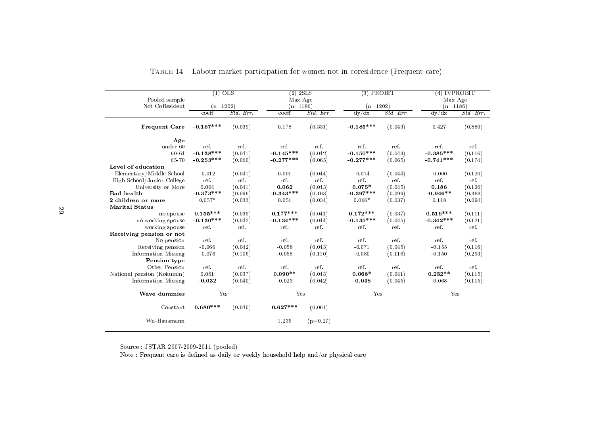|                            | $(1)$ OLS   |              | $(2)$ 2SLS  |            | $(3)$ PROBIT |           | $(4)$ IVPROBIT        |           |
|----------------------------|-------------|--------------|-------------|------------|--------------|-----------|-----------------------|-----------|
| Pooled sample              |             |              | Max Age     |            |              |           | Max Age<br>$(n=1186)$ |           |
| Not CoResident             | $(n=1202)$  |              | $(n=1186)$  |            | $(n=1202)$   |           |                       |           |
|                            | coeff       | $Std$ . Err. | $co$ eff    | Std. Err.  | dy/dx        | Std. Err. | dy/dx                 | Std. Err. |
| Frequent Care              | $-0.167***$ | (0.039)      | 0.178       | (0.331)    | $-0.185***$  | (0.043)   | 0.427                 | (0.880)   |
| Age                        |             |              |             |            |              |           |                       |           |
| under 60                   | ref.        | ref.         | ref.        | ref.       | ref.         | ref.      | ref.                  | ref.      |
| 60-64                      | $-0.138***$ | (0.041)      | $-0.145***$ | (0.042)    | $-0.150***$  | (0.043)   | $-0.385***$           | (0.116)   |
| 65-70                      | $-0.253***$ | (0.060)      | $-0.277***$ | (0.065)    | $-0.277***$  | (0.065)   | $-0.741***$           | (0.174)   |
| Level of education         |             |              |             |            |              |           |                       |           |
| Elementary/Middle School   | $-0.012$    | (0.041)      | 0.001       | (0.044)    | $-0.014$     | (0.044)   | $-0.000$              | (0.120)   |
| High School/Junior College | ref.        | ref.         | ref.        | ref.       | ref.         | ref.      | ref.                  | ref       |
| University or More         | 0.064       | (0.041)      | 0.062       | (0.043)    | $0.075*$     | (0.045)   | 0.186                 | (0.126)   |
| <b>Bad</b> health          | $-0.373***$ | (0.096)      | $-0.343***$ | (0.103)    | $-0.397***$  | (0.099)   | $-0.946**$            | (0.368)   |
| 2 children or more         | $0.057*$    | (0.033)      | 0.051       | (0.034)    | $0.066*$     | (0.037)   | 0.148                 | (0.094)   |
| <b>Marital Status</b>      |             |              |             |            |              |           |                       |           |
| no spouse                  | $0.155***$  | (0.035)      | $0.177***$  | (0.041)    | $0.172***$   | (0.037)   | $0.516***$            | (0.111)   |
| no working spouse          | $-0.130***$ | (0.042)      | $-0.134***$ | (0.044)    | $-0.135***$  | (0.045)   | $-0.342***$           | (0.121)   |
| working spouse             | ref.        | ref.         | ref.        | ref.       | ref.         | ref.      | ref.                  | ref.      |
| Receiving pension or not   |             |              |             |            |              |           |                       |           |
| No pension                 | ref.        | ref.         | ref.        | ref.       | ref.         | ref.      | ref.                  | ref.      |
| Receiving pension          | $-0.066$    | (0.042)      | $-0.058$    | (0.043)    | $-0.071$     | (0.045)   | $-0.155$              | (0.116)   |
| Information Missing        | $-0.076$    | (0.106)      | $-0.058$    | (0.110)    | $-0.080$     | (0.116)   | $-0.150$              | (0.293)   |
| Pension type               |             |              |             |            |              |           |                       |           |
| Other Pension              | ref.        | ref.         | ref.        | ref.       | ref.         | ref.      | ref.                  | ref.      |
| National pension (Kokumin) | 0.061       | (0.037)      | $0.090**$   | (0.043)    | $0.068*$     | (0.041)   | $0.252**$             | (0.115)   |
| Information Missing        | $-0.032$    | (0.040)      | $-0.023$    | (0.042)    | $-0.038$     | (0.045)   | $-0.068$              | (0.115)   |
| Wave dummies               |             | Yes<br>Yes   |             |            | Yes          |           | Yes                   |           |
| Constant                   | $0.680***$  | (0.040)      | $0.627***$  | (0.061)    |              |           |                       |           |
| Wu-Hausmann                |             |              | 1.235       | $(p=0.27)$ |              |           |                       |           |

<span id="page-28-0"></span>

| TABLE 14 – Labour market participation for women not in coresidence (Frequent care) |  |
|-------------------------------------------------------------------------------------|--|
|-------------------------------------------------------------------------------------|--|

Source : JSTAR 2007-2009-2011 (pooled)

Note : Frequent care is defined as daily or weekly household help and/or physical care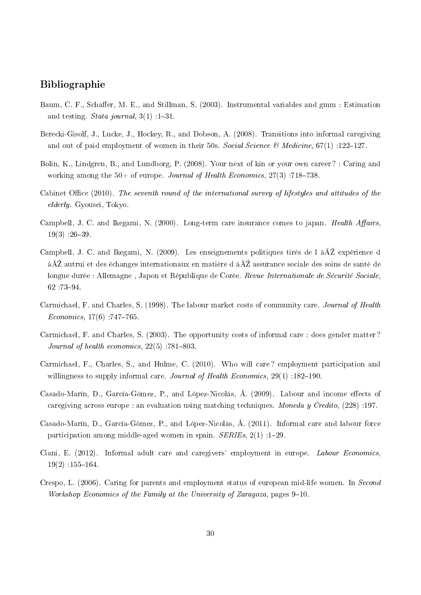## Bibliographie

- <span id="page-29-8"></span>Baum, C. F., Schaffer, M. E., and Stillman, S. (2003). Instrumental variables and gmm : Estimation and testing. Stata journal,  $3(1)$ : 1-31.
- <span id="page-29-7"></span>Berecki-Gisolf, J., Lucke, J., Hockey, R., and Dobson, A. (2008). Transitions into informal caregiving and out of paid employment of women in their 50s. Social Science & Medicine,  $67(1)$ :122-127.
- <span id="page-29-4"></span>Bolin, K., Lindgren, B., and Lundborg, P. (2008). Your next of kin or your own career ? : Caring and working among the  $50+$  of europe. Journal of Health Economics,  $27(3)$ : 718–738.
- <span id="page-29-0"></span>Cabinet Office  $(2010)$ . The seventh round of the international survey of lifestyles and attitudes of the elderly. Gyousei, Tokyo.
- Campbell, J. C. and Ikegami, N. (2000). Long-term care insurance comes to japan. Health Affairs,  $19(3)$  :26-39.
- Campbell, J. C. and Ikegami, N. (2009). Les enseignements politiques tirés de l  $\angle$ à $\angle$ 2 expérience d â $\rm \AA Z$  autrui et des échanges internationaux en matière d $\rm \AA Z$  assurance sociale des soins de santé de longue durée : Allemagne, Japon et République de Corée. Revue Internationale de Sécurité Sociale. 62 :73-94.
- <span id="page-29-1"></span>Carmichael, F. and Charles, S. (1998). The labour market costs of community care. Journal of Health  $Economics, 17(6)$  :747-765.
- <span id="page-29-2"></span>Carmichael, F. and Charles, S. (2003). The opportunity costs of informal care : does gender matter ? Journal of health economics,  $22(5)$ : 781-803.
- Carmichael, F., Charles, S., and Hulme, C. (2010). Who will care ? employment participation and willingness to supply informal care. Journal of Health Economics,  $29(1)$ : 182-190.
- <span id="page-29-5"></span>Casado-Marín, D., García-Gómez, P., and López-Nicolás, Á. (2009). Labour and income effects of caregiving across europe : an evaluation using matching techniques. Moneda y Credito, (228) :197.
- Casado-Marín, D., García-Gómez, P., and López-Nicolás, Á. (2011). Informal care and labour force participation among middle-aged women in spain.  $SERIES$ ,  $2(1)$ : 1-29.
- <span id="page-29-6"></span>Ciani, E. (2012). Informal adult care and caregivers' employment in europe. Labour Economics,  $19(2)$  :155-164.
- <span id="page-29-3"></span>Crespo, L. (2006). Caring for parents and employment status of european mid-life women. In Second Workshop Economics of the Family at the University of Zaragoza, pages  $9-10$ .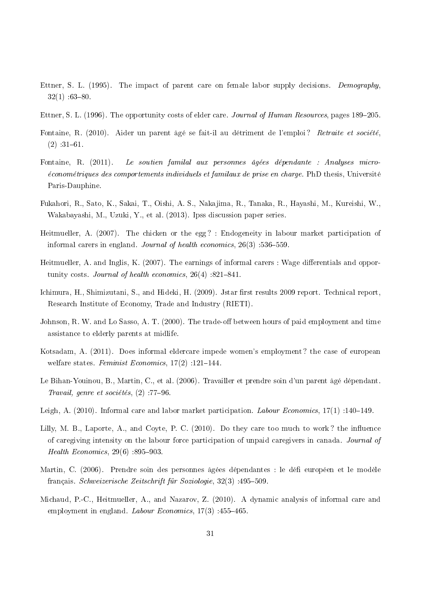- <span id="page-30-4"></span>Ettner, S. L. (1995). The impact of parent care on female labor supply decisions. Demography,  $32(1)$  :63-80.
- <span id="page-30-5"></span>Ettner, S. L. (1996). The opportunity costs of elder care. Journal of Human Resources, pages 189–205.
- <span id="page-30-1"></span>Fontaine, R. (2010). Aider un parent âgé se fait-il au détriment de l'emploi? Retraite et société.  $(2)$  : 31-61.
- <span id="page-30-10"></span>Fontaine, R. (2011). Le soutien familal aux personnes âgées dépendante : Analyses microéconométriques des comportements individuels et familaux de prise en charge. PhD thesis, Université Paris-Dauphine.
- Fukahori, R., Sato, K., Sakai, T., Oishi, A. S., Nakajima, R., Tanaka, R., Hayashi, M., Kureishi, W., Wakabayashi, M., Uzuki, Y., et al. (2013). Ipss discussion paper series.
- <span id="page-30-0"></span>Heitmueller, A. (2007). The chicken or the egg? : Endogeneity in labour market participation of informal carers in england. Journal of health economics,  $26(3)$ : 536-559.
- <span id="page-30-6"></span>Heitmueller, A. and Inglis, K.  $(2007)$ . The earnings of informal carers : Wage differentials and opportunity costs. Journal of health economics,  $26(4)$  :821-841.
- Ichimura, H., Shimizutani, S., and Hideki, H. (2009). Jstar first results 2009 report. Technical report. Research Institute of Economy, Trade and Industry (RIETI).
- <span id="page-30-2"></span>Johnson, R. W. and Lo Sasso, A. T. (2000). The trade-off between hours of paid employment and time assistance to elderly parents at midlife.
- <span id="page-30-8"></span>Kotsadam, A. (2011). Does informal eldercare impede women's employment ? the case of european welfare states. Feminist Economics,  $17(2)$ :  $121-144$ .
- <span id="page-30-3"></span>Le Bihan-Youinou, B., Martin, C., et al. (2006). Travailler et prendre soin d'un parent âgé dépendant. Travail, genre et sociétés,  $(2)$ : 77-96.
- <span id="page-30-9"></span>Leigh, A. (2010). Informal care and labor market participation. Labour Economics,  $17(1)$ : 140–149.
- Lilly, M. B., Laporte, A., and Coyte, P. C.  $(2010)$ . Do they care too much to work? the influence of caregiving intensity on the labour force participation of unpaid caregivers in canada. Journal of *Health Economics*,  $29(6)$  :895-903.
- Martin, C. (2006). Prendre soin des personnes âgées dépendantes : le défieuropéen et le modèle français. Schweizerische Zeitschrift für Soziologie,  $32(3)$ :  $495-509$ .
- <span id="page-30-7"></span>Michaud, P.-C., Heitmueller, A., and Nazarov, Z. (2010). A dynamic analysis of informal care and employment in england. Labour Economics,  $17(3)$  :455-465.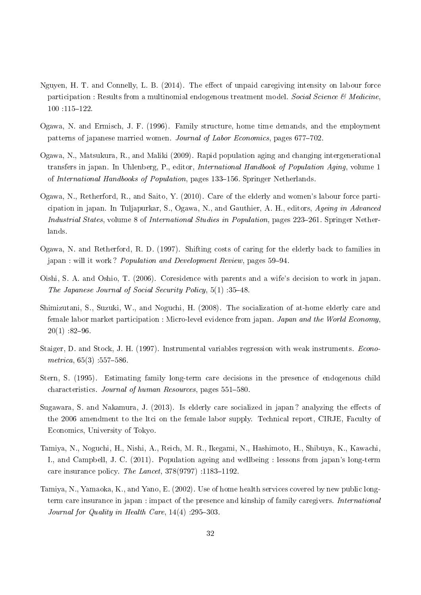- Nguyen, H. T. and Connelly, L. B. (2014). The effect of unpaid caregiving intensity on labour force participation : Results from a multinomial endogenous treatment model. Social Science & Medicine, 100 :115-122.
- <span id="page-31-5"></span>Ogawa, N. and Ermisch, J. F. (1996). Family structure, home time demands, and the employment patterns of japanese married women. Journal of Labor Economics, pages 677-702.
- <span id="page-31-0"></span>Ogawa, N., Matsukura, R., and Maliki (2009). Rapid population aging and changing intergenerational transfers in japan. In Uhlenberg, P., editor, International Handbook of Population Aging, volume 1 of International Handbooks of Population, pages 133-156. Springer Netherlands.
- <span id="page-31-1"></span>Ogawa, N., Retherford, R., and Saito, Y. (2010). Care of the elderly and women's labour force participation in japan. In Tuljapurkar, S., Ogawa, N., and Gauthier, A. H., editors, Ageing in Advanced Industrial States, volume 8 of International Studies in Population, pages 223–261. Springer Netherlands.
- <span id="page-31-2"></span>Ogawa, N. and Retherford, R. D. (1997). Shifting costs of caring for the elderly back to families in japan : will it work? *Population and Development Review*, pages 59–94.
- <span id="page-31-6"></span>Oishi, S. A. and Oshio, T. (2006). Coresidence with parents and a wife's decision to work in japan. The Japanese Journal of Social Security Policy,  $5(1)$  : 35-48.
- <span id="page-31-3"></span>Shimizutani, S., Suzuki, W., and Noguchi, H. (2008). The socialization of at-home elderly care and female labor market participation : Micro-level evidence from japan. *Japan and the World Economy*  $20(1)$  :82-96.
- <span id="page-31-8"></span>Staiger, D. and Stock, J. H. (1997). Instrumental variables regression with weak instruments. Econo $metrica, 65(3) : 557-586$
- <span id="page-31-7"></span>Stern, S. (1995). Estimating family long-term care decisions in the presence of endogenous child characteristics. Journal of human Resources, pages 551-580.
- Sugawara, S. and Nakamura, J.  $(2013)$ . Is elderly care socialized in japan? analyzing the effects of the 2006 amendment to the ltci on the female labor supply. Technical report, CIRJE, Faculty of Economics, University of Tokyo.
- <span id="page-31-4"></span>Tamiya, N., Noguchi, H., Nishi, A., Reich, M. R., Ikegami, N., Hashimoto, H., Shibuya, K., Kawachi, I., and Campbell, J. C. (2011). Population ageing and wellbeing : lessons from japan's long-term care insurance policy. The Lancet,  $378(9797)$ : 1183-1192.
- Tamiya, N., Yamaoka, K., and Yano, E. (2002). Use of home health services covered by new public longterm care insurance in japan : impact of the presence and kinship of family caregivers. International Journal for Quality in Health Care,  $14(4)$  :295-303.